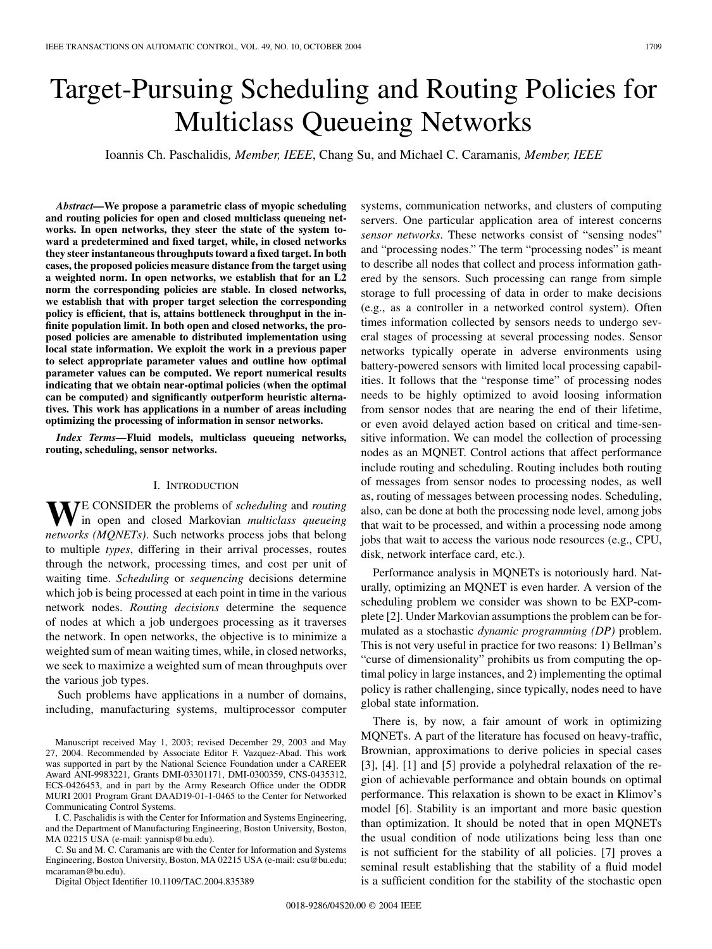# Target-Pursuing Scheduling and Routing Policies for Multiclass Queueing Networks

Ioannis Ch. Paschalidis*, Member, IEEE*, Chang Su, and Michael C. Caramanis*, Member, IEEE*

*Abstract—***We propose a parametric class of myopic scheduling and routing policies for open and closed multiclass queueing networks. In open networks, they steer the state of the system toward a predetermined and fixed target, while, in closed networks they steer instantaneous throughputs toward a fixed target. In both cases, the proposed policies measure distance from the target using a weighted norm. In open networks, we establish that for an L2 norm the corresponding policies are stable. In closed networks, we establish that with proper target selection the corresponding policy is efficient, that is, attains bottleneck throughput in the infinite population limit. In both open and closed networks, the proposed policies are amenable to distributed implementation using local state information. We exploit the work in a previous paper to select appropriate parameter values and outline how optimal parameter values can be computed. We report numerical results indicating that we obtain near-optimal policies (when the optimal can be computed) and significantly outperform heuristic alternatives. This work has applications in a number of areas including optimizing the processing of information in sensor networks.**

*Index Terms—***Fluid models, multiclass queueing networks, routing, scheduling, sensor networks.**

## I. INTRODUCTION

W<sub>E</sub> CONSIDER the problems of *scheduling* and *routing* in open and closed Markovian *multiclass queueing networks (MQNETs)*. Such networks process jobs that belong to multiple *types*, differing in their arrival processes, routes through the network, processing times, and cost per unit of waiting time. *Scheduling* or *sequencing* decisions determine which job is being processed at each point in time in the various network nodes. *Routing decisions* determine the sequence of nodes at which a job undergoes processing as it traverses the network. In open networks, the objective is to minimize a weighted sum of mean waiting times, while, in closed networks, we seek to maximize a weighted sum of mean throughputs over the various job types.

Such problems have applications in a number of domains, including, manufacturing systems, multiprocessor computer

Manuscript received May 1, 2003; revised December 29, 2003 and May 27, 2004. Recommended by Associate Editor F. Vazquez-Abad. This work was supported in part by the National Science Foundation under a CAREER Award ANI-9983221, Grants DMI-03301171, DMI-0300359, CNS-0435312, ECS-0426453, and in part by the Army Research Office under the ODDR MURI 2001 Program Grant DAAD19-01-1-0465 to the Center for Networked Communicating Control Systems.

I. C. Paschalidis is with the Center for Information and Systems Engineering, and the Department of Manufacturing Engineering, Boston University, Boston, MA 02215 USA (e-mail: yannisp@bu.edu).

C. Su and M. C. Caramanis are with the Center for Information and Systems Engineering, Boston University, Boston, MA 02215 USA (e-mail: csu@bu.edu; mcaraman@bu.edu).

Digital Object Identifier 10.1109/TAC.2004.835389

systems, communication networks, and clusters of computing servers. One particular application area of interest concerns *sensor networks*. These networks consist of "sensing nodes" and "processing nodes." The term "processing nodes" is meant to describe all nodes that collect and process information gathered by the sensors. Such processing can range from simple storage to full processing of data in order to make decisions (e.g., as a controller in a networked control system). Often times information collected by sensors needs to undergo several stages of processing at several processing nodes. Sensor networks typically operate in adverse environments using battery-powered sensors with limited local processing capabilities. It follows that the "response time" of processing nodes needs to be highly optimized to avoid loosing information from sensor nodes that are nearing the end of their lifetime, or even avoid delayed action based on critical and time-sensitive information. We can model the collection of processing nodes as an MQNET. Control actions that affect performance include routing and scheduling. Routing includes both routing of messages from sensor nodes to processing nodes, as well as, routing of messages between processing nodes. Scheduling, also, can be done at both the processing node level, among jobs that wait to be processed, and within a processing node among jobs that wait to access the various node resources (e.g., CPU, disk, network interface card, etc.).

Performance analysis in MQNETs is notoriously hard. Naturally, optimizing an MQNET is even harder. A version of the scheduling problem we consider was shown to be EXP-complete [[2\]](#page-13-0). Under Markovian assumptions the problem can be formulated as a stochastic *dynamic programming (DP)* problem. This is not very useful in practice for two reasons: 1) Bellman's "curse of dimensionality" prohibits us from computing the optimal policy in large instances, and 2) implementing the optimal policy is rather challenging, since typically, nodes need to have global state information.

There is, by now, a fair amount of work in optimizing MQNETs. A part of the literature has focused on heavy-traffic, Brownian, approximations to derive policies in special cases [\[3](#page-13-0)], [[4\]](#page-13-0). [\[1](#page-13-0)] and [[5\]](#page-13-0) provide a polyhedral relaxation of the region of achievable performance and obtain bounds on optimal performance. This relaxation is shown to be exact in Klimov's model [\[6](#page-13-0)]. Stability is an important and more basic question than optimization. It should be noted that in open MQNETs the usual condition of node utilizations being less than one is not sufficient for the stability of all policies. [\[7](#page-13-0)] proves a seminal result establishing that the stability of a fluid model is a sufficient condition for the stability of the stochastic open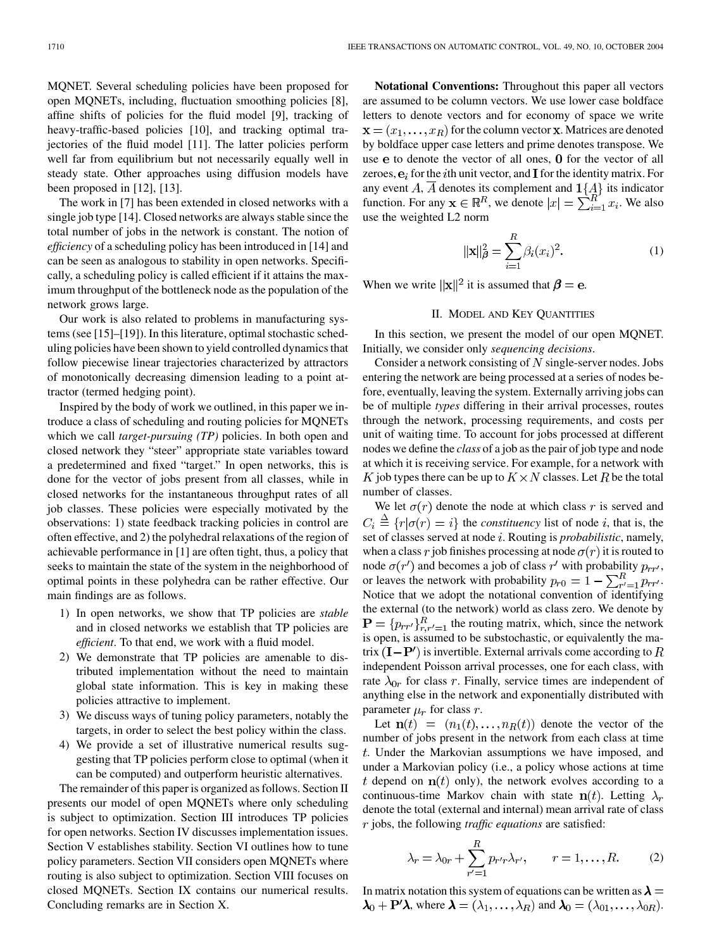MQNET. Several scheduling policies have been proposed for open MQNETs, including, fluctuation smoothing policies [[8\]](#page-13-0), affine shifts of policies for the fluid model [[9\]](#page-13-0), tracking of heavy-traffic-based policies [\[10](#page-13-0)], and tracking optimal trajectories of the fluid model [\[11\]](#page-13-0). The latter policies perform well far from equilibrium but not necessarily equally well in steady state. Other approaches using diffusion models have been proposed in [\[12](#page-13-0)], [\[13](#page-13-0)].

The work in [[7\]](#page-13-0) has been extended in closed networks with a single job type [\[14](#page-13-0)]. Closed networks are always stable since the total number of jobs in the network is constant. The notion of *efficiency* of a scheduling policy has been introduced in [\[14](#page-13-0)] and can be seen as analogous to stability in open networks. Specifically, a scheduling policy is called efficient if it attains the maximum throughput of the bottleneck node as the population of the network grows large.

Our work is also related to problems in manufacturing systems (see [[15\]](#page-13-0)–[\[19](#page-13-0)]). In this literature, optimal stochastic scheduling policies have been shown to yield controlled dynamics that follow piecewise linear trajectories characterized by attractors of monotonically decreasing dimension leading to a point attractor (termed hedging point).

Inspired by the body of work we outlined, in this paper we introduce a class of scheduling and routing policies for MQNETs which we call *target-pursuing (TP)* policies. In both open and closed network they "steer" appropriate state variables toward a predetermined and fixed "target." In open networks, this is done for the vector of jobs present from all classes, while in closed networks for the instantaneous throughput rates of all job classes. These policies were especially motivated by the observations: 1) state feedback tracking policies in control are often effective, and 2) the polyhedral relaxations of the region of achievable performance in [[1\]](#page-13-0) are often tight, thus, a policy that seeks to maintain the state of the system in the neighborhood of optimal points in these polyhedra can be rather effective. Our main findings are as follows.

- 1) In open networks, we show that TP policies are *stable* and in closed networks we establish that TP policies are *efficient*. To that end, we work with a fluid model.
- 2) We demonstrate that TP policies are amenable to distributed implementation without the need to maintain global state information. This is key in making these policies attractive to implement.
- 3) We discuss ways of tuning policy parameters, notably the targets, in order to select the best policy within the class.
- 4) We provide a set of illustrative numerical results suggesting that TP policies perform close to optimal (when it can be computed) and outperform heuristic alternatives.

The remainder of this paper is organized as follows. Section II presents our model of open MQNETs where only scheduling is subject to optimization. Section III introduces TP policies for open networks. Section IV discusses implementation issues. Section V establishes stability. Section VI outlines how to tune policy parameters. Section VII considers open MQNETs where routing is also subject to optimization. Section VIII focuses on closed MQNETs. Section IX contains our numerical results. Concluding remarks are in Section X.

**Notational Conventions:** Throughout this paper all vectors are assumed to be column vectors. We use lower case boldface letters to denote vectors and for economy of space we write  $\mathbf{x} = (x_1, \dots, x_R)$  for the column vector **x**. Matrices are denoted by boldface upper case letters and prime denotes transpose. We use  $e$  to denote the vector of all ones,  $0$  for the vector of all zeroes,  $e_i$  for the *i*th unit vector, and **I** for the identity matrix. For any event A, A denotes its complement and  $1\{A\}$  its indicator function. For any  $\mathbf{x} \in \mathbb{R}^n$ , we denote  $|x| = \sum_{i=1}^n x_i$ . We also use the weighted L2 norm

$$
\|\mathbf{x}\|_{\beta}^{2} = \sum_{i=1}^{R} \beta_{i}(x_{i})^{2}.
$$
 (1)

When we write  $||\mathbf{x}||^2$  it is assumed that  $\boldsymbol{\beta} = \mathbf{e}$ .

# II. MODEL AND KEY QUANTITIES

In this section, we present the model of our open MQNET. Initially, we consider only *sequencing decisions*.

Consider a network consisting of  $N$  single-server nodes. Jobs entering the network are being processed at a series of nodes before, eventually, leaving the system. Externally arriving jobs can be of multiple *types* differing in their arrival processes, routes through the network, processing requirements, and costs per unit of waiting time. To account for jobs processed at different nodes we define the *class* of a job as the pair of job type and node at which it is receiving service. For example, for a network with K job types there can be up to  $K \times N$  classes. Let R be the total number of classes.

We let  $\sigma(r)$  denote the node at which class r is served and  $C_i \triangleq \{r | \sigma(r) = i\}$  the *constituency* list of node i, that is, the set of classes served at node *i*. Routing is *probabilistic*, namely, when a class r job finishes processing at node  $\sigma(r)$  it is routed to node  $\sigma(r')$  and becomes a job of class r' with probability  $p_{rr'}$ , or leaves the network with probability  $p_{r0} = 1 - \sum_{r'=1}^{R} p_{rr'}$ . Notice that we adopt the notational convention of identifying the external (to the network) world as class zero. We denote by  $\mathbf{P} = \{p_{rr'}\}_{r,r'=1}^R$  the routing matrix, which, since the network is open, is assumed to be substochastic, or equivalently the matrix  $(I - P')$  is invertible. External arrivals come according to R independent Poisson arrival processes, one for each class, with rate  $\lambda_{0r}$  for class r. Finally, service times are independent of anything else in the network and exponentially distributed with parameter  $\mu_r$  for class r.

Let  $\mathbf{n}(t) = (n_1(t), \ldots, n_R(t))$  denote the vector of the number of jobs present in the network from each class at time . Under the Markovian assumptions we have imposed, and under a Markovian policy (i.e., a policy whose actions at time t depend on  $n(t)$  only), the network evolves according to a continuous-time Markov chain with state  $n(t)$ . Letting  $\lambda_r$ denote the total (external and internal) mean arrival rate of class jobs, the following *traffic equations* are satisfied:

$$
\lambda_r = \lambda_{0r} + \sum_{r'=1}^{R} p_{r'r} \lambda_{r'}, \qquad r = 1, \dots, R. \tag{2}
$$

In matrix notation this system of equations can be written as  $\lambda =$  $\lambda_0 + \mathbf{P}'\lambda$ , where  $\lambda = (\lambda_1, \dots, \lambda_R)$  and  $\lambda_0 = (\lambda_{01}, \dots, \lambda_{0R})$ .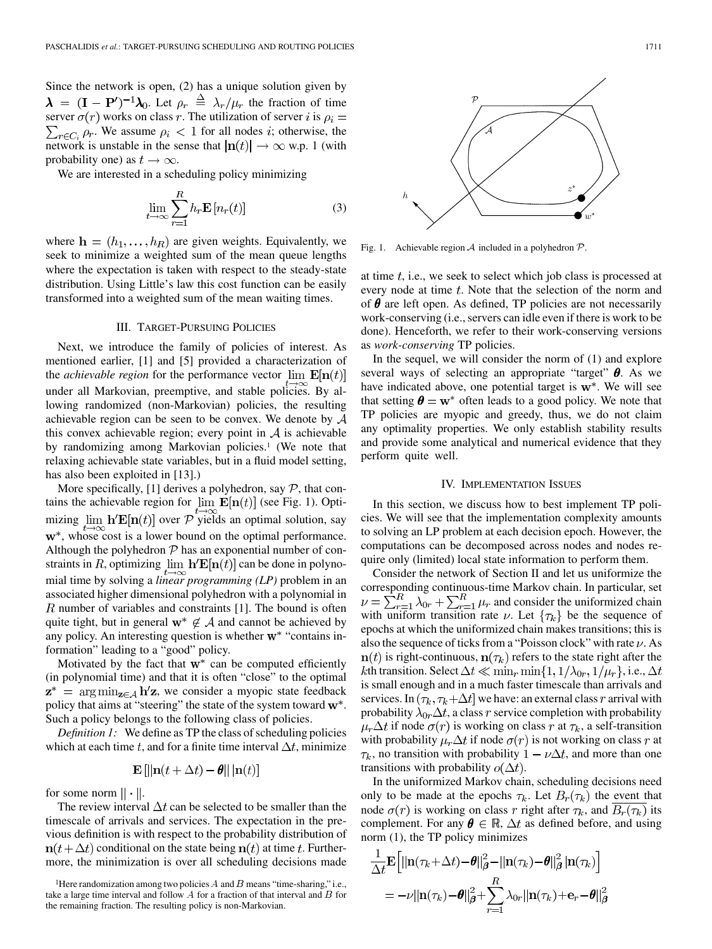Since the network is open, (2) has a unique solution given by  $\lambda = (\mathbf{I} - \mathbf{P}')^{-1} \lambda_0$ . Let  $\rho_r \stackrel{\Delta}{=} \lambda_r / \mu_r$  the fraction of time server  $\sigma(r)$  works on class r. The utilization of server i is  $\rho_i =$  $\sum_{r \in C_i} \rho_r$ . We assume  $\rho_i < 1$  for all nodes *i*; otherwise, the network is unstable in the sense that  $|\mathbf{n}(t)| \to \infty$  w.p. 1 (with probability one) as  $t \to \infty$ .

We are interested in a scheduling policy minimizing

$$
\lim_{t \to \infty} \sum_{r=1}^{R} h_r \mathbf{E} \left[ n_r(t) \right] \tag{3}
$$

where  $\mathbf{h} = (h_1, \dots, h_R)$  are given weights. Equivalently, we seek to minimize a weighted sum of the mean queue lengths where the expectation is taken with respect to the steady-state distribution. Using Little's law this cost function can be easily transformed into a weighted sum of the mean waiting times.

## III. TARGET-PURSUING POLICIES

Next, we introduce the family of policies of interest. As mentioned earlier, [\[1](#page-13-0)] and [\[5](#page-13-0)] provided a characterization of the *achievable region* for the performance vector  $\lim_{h \to 0} E[\mathbf{n}(t)]$ under all Markovian, preemptive, and stable policies. By allowing randomized (non-Markovian) policies, the resulting achievable region can be seen to be convex. We denote by  $A$ this convex achievable region; every point in  $A$  is achievable by randomizing among Markovian policies.<sup>1</sup> (We note that relaxing achievable state variables, but in a fluid model setting, has also been exploited in [\[13](#page-13-0)].)

More specifically, [\[1](#page-13-0)] derives a polyhedron, say  $P$ , that contains the achievable region for  $\lim_{h \to 0} \mathbf{E}[\mathbf{n}(t)]$  (see Fig. 1). Optimizing  $\lim_{h \to \infty} h'E[n(t)]$  over P yields an optimal solution, say w<sup>\*</sup>, whose cost is a lower bound on the optimal performance. Although the polyhedron  $P$  has an exponential number of constraints in R, optimizing  $\lim h' \mathbf{E}[\mathbf{n}(t)]$  can be done in polynomial time by solving a *linear programming (LP)* problem in an associated higher dimensional polyhedron with a polynomial in  $R$  number of variables and constraints [[1\]](#page-13-0). The bound is often quite tight, but in general  $w^* \notin A$  and cannot be achieved by any policy. An interesting question is whether  $w^*$  "contains information" leading to a "good" policy.

Motivated by the fact that  $w^*$  can be computed efficiently (in polynomial time) and that it is often "close" to the optimal  $z^*$  = arg min<sub>z $\in \mathcal{A}$ </sub> h'z, we consider a myopic state feedback policy that aims at "steering" the state of the system toward  $\mathbf{w}^*$ . Such a policy belongs to the following class of policies.

*Definition 1:* We define as TP the class of scheduling policies which at each time t, and for a finite time interval  $\Delta t$ , minimize

$$
\mathbf{E}\left[\|\mathbf{n}(t+\Delta t) - \boldsymbol{\theta}\| \|\mathbf{n}(t)\right]
$$

for some norm  $|| \cdot ||$ .

The review interval  $\Delta t$  can be selected to be smaller than the timescale of arrivals and services. The expectation in the previous definition is with respect to the probability distribution of  $n(t + \Delta t)$  conditional on the state being  $n(t)$  at time t. Furthermore, the minimization is over all scheduling decisions made



Fig. 1. Achievable region A included in a polyhedron  $P$ .

at time  $t$ , i.e., we seek to select which job class is processed at every node at time  $t$ . Note that the selection of the norm and of  $\theta$  are left open. As defined, TP policies are not necessarily work-conserving (i.e., servers can idle even if there is work to be done). Henceforth, we refer to their work-conserving versions as *work-conserving* TP policies.

In the sequel, we will consider the norm of (1) and explore several ways of selecting an appropriate "target"  $\theta$ . As we have indicated above, one potential target is  $w^*$ . We will see that setting  $\theta = w^*$  often leads to a good policy. We note that TP policies are myopic and greedy, thus, we do not claim any optimality properties. We only establish stability results and provide some analytical and numerical evidence that they perform quite well.

## IV. IMPLEMENTATION ISSUES

In this section, we discuss how to best implement TP policies. We will see that the implementation complexity amounts to solving an LP problem at each decision epoch. However, the computations can be decomposed across nodes and nodes require only (limited) local state information to perform them.

Consider the network of Section II and let us uniformize the corresponding continuous-time Markov chain. In particular, set and consider the uniformized chain with uniform transition rate  $\nu$ . Let  $\{\tau_k\}$  be the sequence of epochs at which the uniformized chain makes transitions; this is also the sequence of ticks from a "Poisson clock" with rate  $\nu$ . As  $\mathbf{n}(t)$  is right-continuous,  $\mathbf{n}(\tau_k)$  refers to the state right after the kth transition. Select  $\Delta t \ll \min_r \min\{1, 1/\lambda_{0r}, 1/\mu_r\}$ , i.e.,  $\Delta t$ is small enough and in a much faster timescale than arrivals and services. In  $(\tau_k, \tau_k + \Delta t]$  we have: an external class r arrival with probability  $\lambda_{0r} \Delta t$ , a class r service completion with probability  $\mu_r \Delta t$  if node  $\sigma(r)$  is working on class r at  $\tau_k$ , a self-transition with probability  $\mu_r \Delta t$  if node  $\sigma(r)$  is not working on class r at  $\tau_k$ , no transition with probability  $1 - \nu \Delta t$ , and more than one transitions with probability  $o(\Delta t)$ .

In the uniformized Markov chain, scheduling decisions need only to be made at the epochs  $\tau_k$ . Let  $B_r(\tau_k)$  the event that node  $\sigma(r)$  is working on class r right after  $\tau_k$ , and  $B_r(\tau_k)$  its complement. For any  $\boldsymbol{\theta} \in \mathbb{R}$ ,  $\Delta t$  as defined before, and using norm (1), the TP policy minimizes

$$
\frac{1}{\Delta t} \mathbf{E} \Big[ ||\mathbf{n}(\tau_k + \Delta t) - \theta||^2_{\boldsymbol{\beta}} - ||\mathbf{n}(\tau_k) - \theta||^2_{\boldsymbol{\beta}} |\mathbf{n}(\tau_k)| \Big] \n= -\nu ||\mathbf{n}(\tau_k) - \theta||^2_{\boldsymbol{\beta}} + \sum_{r=1}^R \lambda_{0r} ||\mathbf{n}(\tau_k) + \mathbf{e}_r - \theta||^2_{\boldsymbol{\beta}}.
$$

<sup>&</sup>lt;sup>1</sup>Here randomization among two policies  $A$  and  $B$  means "time-sharing," i.e., take a large time interval and follow  $A$  for a fraction of that interval and  $B$  for the remaining fraction. The resulting policy is non-Markovian.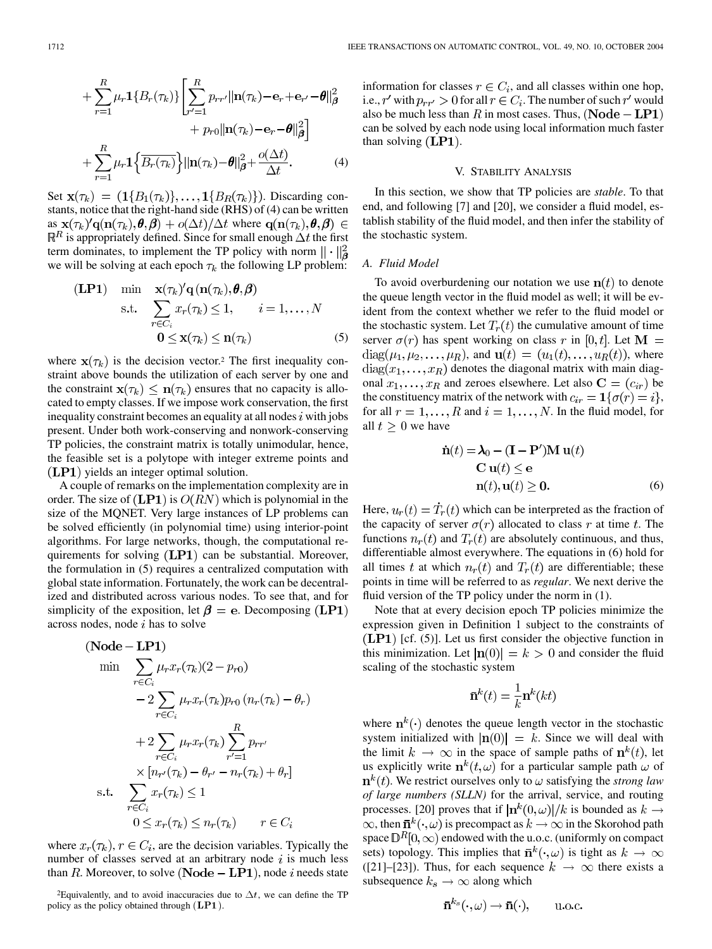$$
+\sum_{r=1}^{R} \mu_r \mathbf{1} \{B_r(\tau_k)\} \left[ \sum_{r'=1}^{R} p_{rr'} ||\mathbf{n}(\tau_k) - \mathbf{e}_r + \mathbf{e}_{r'} - \boldsymbol{\theta}||_{\boldsymbol{\beta}}^2 + p_{r0} ||\mathbf{n}(\tau_k) - \mathbf{e}_r - \boldsymbol{\theta}||_{\boldsymbol{\beta}}^2 \right] + \sum_{r=1}^{R} \mu_r \mathbf{1} \left\{ \overline{B_r(\tau_k)} \right\} ||\mathbf{n}(\tau_k) - \boldsymbol{\theta}||_{\boldsymbol{\beta}}^2 + \frac{o(\Delta t)}{\Delta t}.
$$
 (4)

Set  $\mathbf{x}(\tau_k) = (1{B_1(\tau_k)}, \dots, 1{B_R(\tau_k)})$ . Discarding constants, notice that the right-hand side (RHS) of (4) can be written as  $\mathbf{x}(\tau_k)' \mathbf{q}(\mathbf{n}(\tau_k), \theta, \beta) + o(\Delta t)/\Delta t$  where  $\mathbf{q}(\mathbf{n}(\tau_k), \theta, \beta) \in$  $\mathbb{R}^R$  is appropriately defined. Since for small enough  $\Delta t$  the first term dominates, to implement the TP policy with norm  $\|\cdot\|^2_{\mathbf{a}}$ we will be solving at each epoch  $\tau_k$  the following LP problem:

$$
\begin{array}{ll}\n\textbf{(LP1)} & \min \quad \mathbf{x}(\tau_k)'\mathbf{q}\left(\mathbf{n}(\tau_k), \boldsymbol{\theta}, \boldsymbol{\beta}\right) \\
\text{s.t.} & \sum_{r \in C_i} x_r(\tau_k) \le 1, \qquad i = 1, \dots, N \\
& \mathbf{0} \le \mathbf{x}(\tau_k) \le \mathbf{n}(\tau_k)\n\end{array} \tag{5}
$$

where  $\mathbf{x}(\tau_k)$  is the decision vector.<sup>2</sup> The first inequality constraint above bounds the utilization of each server by one and the constraint  $\mathbf{x}(\tau_k) \leq \mathbf{n}(\tau_k)$  ensures that no capacity is allocated to empty classes. If we impose work conservation, the first inequality constraint becomes an equality at all nodes  $i$  with jobs present. Under both work-conserving and nonwork-conserving TP policies, the constraint matrix is totally unimodular, hence, the feasible set is a polytope with integer extreme points and  $(LP1)$  yields an integer optimal solution.

A couple of remarks on the implementation complexity are in order. The size of  $(LP1)$  is  $O(RN)$  which is polynomial in the size of the MQNET. Very large instances of LP problems can be solved efficiently (in polynomial time) using interior-point algorithms. For large networks, though, the computational requirements for solving  $(LP1)$  can be substantial. Moreover, the formulation in (5) requires a centralized computation with global state information. Fortunately, the work can be decentralized and distributed across various nodes. To see that, and for simplicity of the exposition, let  $\beta = e$ . Decomposing (LP1) across nodes, node  $i$  has to solve

$$
\begin{aligned}\n\textbf{(Node} - \mathbf{L}\mathbf{P1}) \\
\min \quad & \sum_{r \in C_i} \mu_r x_r(\tau_k)(2 - p_{r0}) \\
& \quad - 2 \sum_{r \in C_i} \mu_r x_r(\tau_k) p_{r0} \left( n_r(\tau_k) - \theta_r \right) \\
& \quad + 2 \sum_{r \in C_i} \mu_r x_r(\tau_k) \sum_{r'=1}^R p_{rr'} \\
& \quad \times \left[ n_{r'}(\tau_k) - \theta_{r'} - n_r(\tau_k) + \theta_r \right] \\
\text{s.t.} \quad & \sum_{r \in C_i} x_r(\tau_k) \le 1 \\
& \quad 0 \le x_r(\tau_k) \le n_r(\tau_k) \qquad r \in C_i\n\end{aligned}
$$

where  $x_r(\tau_k)$ ,  $r \in C_i$ , are the decision variables. Typically the number of classes served at an arbitrary node  $i$  is much less than R. Moreover, to solve (Node  $-LP1$ ), node i needs state

information for classes  $r \in C_i$ , and all classes within one hop, i.e., r' with  $p_{rr'} > 0$  for all  $r \in C_i$ . The number of such r' would also be much less than R in most cases. Thus, (Node  $- LP1$ ) can be solved by each node using local information much faster than solving  $(LP1)$ .

## V. STABILITY ANALYSIS

In this section, we show that TP policies are *stable*. To that end, and following [[7\]](#page-13-0) and [[20\]](#page-13-0), we consider a fluid model, establish stability of the fluid model, and then infer the stability of the stochastic system.

## *A. Fluid Model*

To avoid overburdening our notation we use  $\mathbf{n}(t)$  to denote the queue length vector in the fluid model as well; it will be evident from the context whether we refer to the fluid model or the stochastic system. Let  $T_r(t)$  the cumulative amount of time server  $\sigma(r)$  has spent working on class r in  $[0, t]$ . Let  $\mathbf{M} =$  $diag(\mu_1, \mu_2, \dots, \mu_R)$ , and  $\mathbf{u}(t) = (u_1(t), \dots, u_R(t))$ , where  $diag(x_1, \ldots, x_R)$  denotes the diagonal matrix with main diagonal  $x_1, \ldots, x_R$  and zeroes elsewhere. Let also  $C = (c_{ir})$  be the constituency matrix of the network with  $c_{ir} = \mathbf{1}{\lbrace \sigma(r) = i \rbrace}$ , for all  $r = 1, \ldots, R$  and  $i = 1, \ldots, N$ . In the fluid model, for all  $t \geq 0$  we have

$$
\dot{\mathbf{n}}(t) = \lambda_0 - (\mathbf{I} - \mathbf{P}')\mathbf{M}\mathbf{u}(t)
$$
  
C  $\mathbf{u}(t) \le \mathbf{e}$   
 $\mathbf{n}(t), \mathbf{u}(t) \ge \mathbf{0}.$  (6)

Here,  $u_r(t) = \dot{T}_r(t)$  which can be interpreted as the fraction of the capacity of server  $\sigma(r)$  allocated to class r at time t. The functions  $n_r(t)$  and  $T_r(t)$  are absolutely continuous, and thus, differentiable almost everywhere. The equations in (6) hold for all times t at which  $n_r(t)$  and  $T_r(t)$  are differentiable; these points in time will be referred to as *regular*. We next derive the fluid version of the TP policy under the norm in  $(1)$ .

Note that at every decision epoch TP policies minimize the expression given in Definition 1 subject to the constraints of  $(LP1)$  [cf. (5)]. Let us first consider the objective function in this minimization. Let  $|\mathbf{n}(0)| = k > 0$  and consider the fluid scaling of the stochastic system

$$
\bar{\mathbf{n}}^k(t) = \frac{1}{k} \mathbf{n}^k(kt)
$$

where  $\mathbf{n}^k(\cdot)$  denotes the queue length vector in the stochastic system initialized with  $|\mathbf{n}(0)| = k$ . Since we will deal with the limit  $k \to \infty$  in the space of sample paths of  $n^{k}(t)$ , let us explicitly write  $\mathbf{n}^k(t,\omega)$  for a particular sample path  $\omega$  of  $n^{k}(t)$ . We restrict ourselves only to  $\omega$  satisfying the *strong law of large numbers (SLLN)* for the arrival, service, and routing processes. [[20\]](#page-13-0) proves that if  $|\mathbf{n}^k(0,\omega)|/k$  is bounded as  $k \to$  $\infty$ , then  $\bar{n}^k(\cdot,\omega)$  is precompact as  $k\to\infty$  in the Skorohod path space  $\mathbb{D}^R[0,\infty)$  endowed with the u.o.c. (uniformly on compact sets) topology. This implies that  $\bar{\mathbf{n}}^k(\cdot,\omega)$  is tight as  $k \to \infty$ ([\[21](#page-13-0)]–[[23\]](#page-13-0)). Thus, for each sequence  $k \to \infty$  there exists a subsequence  $k_s \to \infty$  along which

$$
\bar{\mathbf{n}}^{k_s}(\cdot,\omega) \to \bar{\mathbf{n}}(\cdot), \qquad \text{u.o.c.}
$$

<sup>&</sup>lt;sup>2</sup>Equivalently, and to avoid inaccuracies due to  $\Delta t$ , we can define the TP policy as the policy obtained through  $(LP1)$ .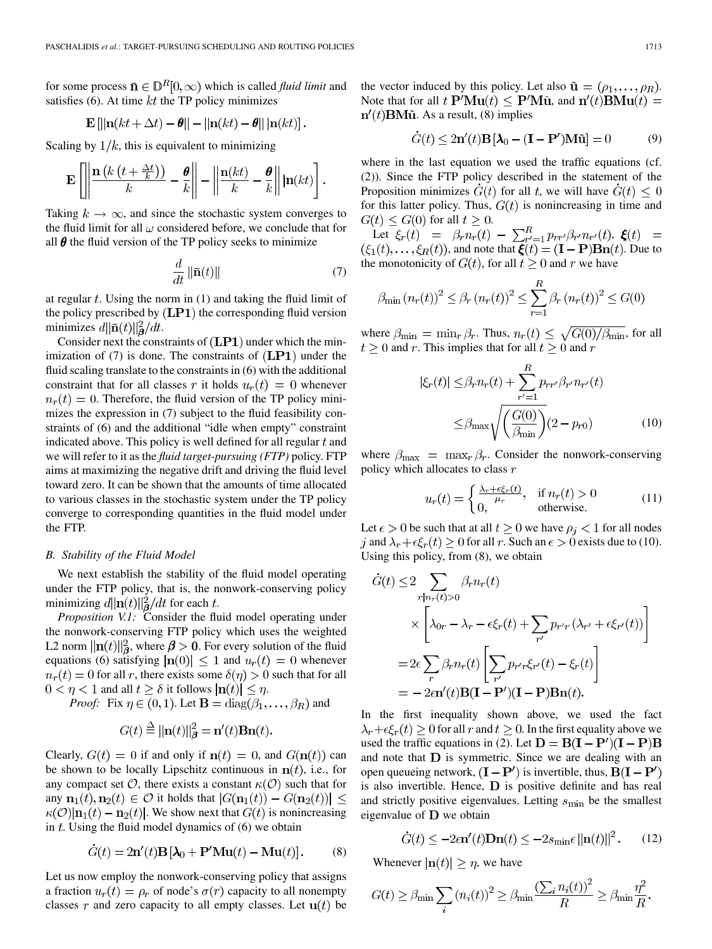for some process  $\mathbf{\bar{n}} \in \mathbb{D}^R[0,\infty)$  which is called *fluid limit* and satisfies (6). At time  $kt$  the TP policy minimizes

$$
\mathbf{E}\left[\|\mathbf{n}(kt+\Delta t)-\boldsymbol{\theta}\|-\|\mathbf{n}(kt)-\boldsymbol{\theta}\|\|\mathbf{n}(kt)\right].
$$

Scaling by  $1/k$ , this is equivalent to minimizing

$$
\mathbf{E}\left[\left\|\frac{\mathbf{n}\left(k\left(t+\frac{\Delta t}{k}\right)\right)}{k}-\frac{\boldsymbol{\theta}}{k}\right\|-\left\|\frac{\mathbf{n}(kt)}{k}-\frac{\boldsymbol{\theta}}{k}\right\|\left|\mathbf{n}(kt)\right|\right].
$$

Taking  $k \to \infty$ , and since the stochastic system converges to the fluid limit for all  $\omega$  considered before, we conclude that for all  $\theta$  the fluid version of the TP policy seeks to minimize

$$
\frac{d}{dt} \|\bar{\mathbf{n}}(t)\| \tag{7}
$$

at regular  $t$ . Using the norm in (1) and taking the fluid limit of the policy prescribed by  $(LP1)$  the corresponding fluid version minimizes  $d\|\bar{\mathbf{n}}(t)\|_{\mathbf{\mathcal{B}}}^2/dt$ .

Consider next the constraints of  $(LP1)$  under which the minimization of  $(7)$  is done. The constraints of  $(LP1)$  under the fluid scaling translate to the constraints in (6) with the additional constraint that for all classes r it holds  $u_r(t) = 0$  whenever  $n_r(t) = 0$ . Therefore, the fluid version of the TP policy minimizes the expression in (7) subject to the fluid feasibility constraints of (6) and the additional "idle when empty" constraint indicated above. This policy is well defined for all regular  $t$  and we will refer to it as the *fluid target-pursuing (FTP)* policy. FTP aims at maximizing the negative drift and driving the fluid level toward zero. It can be shown that the amounts of time allocated to various classes in the stochastic system under the TP policy converge to corresponding quantities in the fluid model under the FTP.

## *B. Stability of the Fluid Model*

We next establish the stability of the fluid model operating under the FTP policy, that is, the nonwork-conserving policy minimizing  $d\|\mathbf{n}(t)\|_{\mathbf{A}}^2/dt$  for each t.

*Proposition V.1:* Consider the fluid model operating under the nonwork-conserving FTP policy which uses the weighted L2 norm  $\|\mathbf{n}(t)\|_{\mathbf{\beta}}^2$ , where  $\beta > 0$ . For every solution of the fluid equations (6) satisfying  $|\mathbf{n}(0)| \leq 1$  and  $u_r(t) = 0$  whenever  $n_r(t) = 0$  for all r, there exists some  $\delta(\eta) > 0$  such that for all  $0 < \eta < 1$  and all  $t \ge \delta$  it follows  $|\mathbf{n}(t)| \le \eta$ .

*Proof:* Fix  $\eta \in (0,1)$ . Let  $\mathbf{B} = \text{diag}(\beta_1, \dots, \beta_R)$  and

$$
G(t) \stackrel{\Delta}{=} ||\mathbf{n}(t)||^2_{\boldsymbol{\beta}} = \mathbf{n}'(t)\mathbf{B}\mathbf{n}(t).
$$

Clearly,  $G(t) = 0$  if and only if  $n(t) = 0$ , and  $G(n(t))$  can be shown to be locally Lipschitz continuous in  $n(t)$ , i.e., for any compact set  $\mathcal{O}$ , there exists a constant  $\kappa(\mathcal{O})$  such that for any  $\mathbf{n}_1(t), \mathbf{n}_2(t) \in \mathcal{O}$  it holds that  $|G(\mathbf{n}_1(t)) - G(\mathbf{n}_2(t))|$  $\kappa(\mathcal{O})|n_1(t) - n_2(t)|$ . We show next that  $G(t)$  is nonincreasing in  $t$ . Using the fluid model dynamics of  $(6)$  we obtain

$$
\dot{G}(t) = 2\mathbf{n}'(t)\mathbf{B}\left[\mathbf{\lambda}_0 + \mathbf{P}'\mathbf{M}\mathbf{u}(t) - \mathbf{M}\mathbf{u}(t)\right].\tag{8}
$$

Let us now employ the nonwork-conserving policy that assigns a fraction  $u_r(t) = \rho_r$  of node's  $\sigma(r)$  capacity to all nonempty classes r and zero capacity to all empty classes. Let  $\mathbf{u}(t)$  be the vector induced by this policy. Let also  $\tilde{\mathbf{u}} = (\rho_1, \dots, \rho_R)$ . Note that for all  $t \, \mathbf{P}'\mathbf{M}\mathbf{u}(t) \leq \mathbf{P}'\mathbf{M}\tilde{\mathbf{u}}$ , and  $\mathbf{n}'(t)\mathbf{B}\mathbf{M}\mathbf{u}(t) =$  $n'(t)$ **BM** $\tilde{u}$ . As a result, (8) implies

$$
\dot{G}(t) \le 2\mathbf{n}'(t)\mathbf{B}\left[\lambda_0 - (\mathbf{I} - \mathbf{P}')\mathbf{M}\tilde{\mathbf{u}}\right] = 0 \tag{9}
$$

where in the last equation we used the traffic equations (cf. (2)). Since the FTP policy described in the statement of the Proposition minimizes  $\dot{G}(t)$  for all t, we will have  $\dot{G}(t) \leq 0$ for this latter policy. Thus,  $G(t)$  is nonincreasing in time and  $G(t) \leq G(0)$  for all  $t \geq 0$ .

Let  $\xi_r(t) = \beta_r n_r(t) - \sum_{r'=1}^R p_{rr'} \beta_{r'} n_{r'}(t)$ ,  $\xi(t) =$  $(\xi_1(t), \ldots, \xi_R(t))$ , and note that  $\boldsymbol{\xi}(t) = (\mathbf{I} - \mathbf{P}) \mathbf{B} \mathbf{n}(t)$ . Due to the monotonicity of  $G(t)$ , for all  $t \geq 0$  and r we have

$$
\beta_{\min} (n_r(t))^2 \leq \beta_r (n_r(t))^2 \leq \sum_{r=1}^R \beta_r (n_r(t))^2 \leq G(0)
$$

where  $\beta_{\min} = \min_r \beta_r$ . Thus,  $n_r(t) \leq \sqrt{G(0)/\beta_{\min}}$ , for all  $t \geq 0$  and r. This implies that for all  $t \geq 0$  and r

$$
\xi_r(t) \leq \beta_r n_r(t) + \sum_{r'=1}^{R} p_{rr'} \beta_{r'} n_{r'}(t)
$$
  

$$
\leq \beta_{\text{max}} \sqrt{\left(\frac{G(0)}{\beta_{\text{min}}}\right)} (2 - p_{r0}) \tag{10}
$$

where  $\beta_{\text{max}} = \max_{r} \beta_r$ . Consider the nonwork-conserving policy which allocates to class  $r$ 

$$
u_r(t) = \begin{cases} \frac{\lambda_r + \epsilon \xi_r(t)}{\mu_r}, & \text{if } n_r(t) > 0\\ 0, & \text{otherwise.} \end{cases}
$$
 (11)

Let  $\epsilon > 0$  be such that at all  $t \ge 0$  we have  $\rho_i < 1$  for all nodes j and  $\lambda_r + \epsilon \xi_r(t) \geq 0$  for all r. Such an  $\epsilon > 0$  exists due to (10). Using this policy, from (8), we obtain

$$
\dot{G}(t) \le 2 \sum_{r|n_r(t)>0} \beta_r n_r(t)
$$
  
 
$$
\times \left[ \lambda_{0r} - \lambda_r - \epsilon \xi_r(t) + \sum_{r'} p_{r'r} (\lambda_{r'} + \epsilon \xi_{r'}(t)) \right]
$$
  
= 
$$
2\epsilon \sum_r \beta_r n_r(t) \left[ \sum_{r'} p_{r'r} \xi_{r'}(t) - \xi_r(t) \right]
$$
  
= 
$$
-2\epsilon \mathbf{n'}(t) \mathbf{B} (\mathbf{I} - \mathbf{P'})(\mathbf{I} - \mathbf{P}) \mathbf{B} \mathbf{n}(t).
$$

In the first inequality shown above, we used the fact  $\lambda_r + \epsilon \xi_r(t) \geq 0$  for all r and  $t \geq 0$ . In the first equality above we used the traffic equations in (2). Let  $D = B(I - P')(I - P)B$ and note that  **is symmetric. Since we are dealing with an** open queueing network,  $(I - P')$  is invertible, thus,  $B(I - P')$ is also invertible. Hence,  $D$  is positive definite and has real and strictly positive eigenvalues. Letting  $s_{\text{min}}$  be the smallest eigenvalue of  $D$  we obtain

$$
\dot{G}(t) \le -2\epsilon \mathbf{n}'(t)\mathbf{D}\mathbf{n}(t) \le -2s_{\min}\epsilon \left\| \mathbf{n}(t) \right\|^2. \tag{12}
$$

Whenever  $|\mathbf{n}(t)| \geq \eta$ , we have

$$
G(t) \geq \beta_{\min} \sum_{i} \left( n_i(t) \right)^2 \geq \beta_{\min} \frac{\left( \sum_{i} n_i(t) \right)^2}{R} \geq \beta_{\min} \frac{\eta^2}{R}.
$$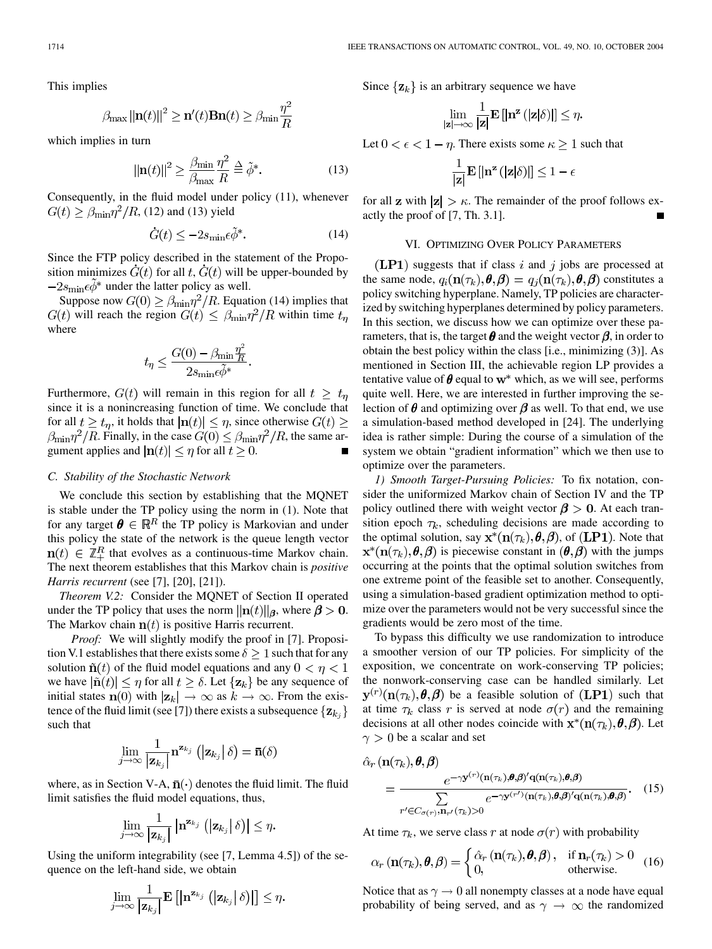This implies

$$
\beta_{\max} ||\mathbf{n}(t)||^2 \ge \mathbf{n}'(t)\mathbf{B}\mathbf{n}(t) \ge \beta_{\min} \frac{\eta^2}{R}
$$

which implies in turn

$$
\|\mathbf{n}(t)\|^2 \ge \frac{\beta_{\text{min}}}{\beta_{\text{max}}} \frac{\eta^2}{R} \stackrel{\Delta}{=} \tilde{\phi}^*.
$$
 (13)

Consequently, in the fluid model under policy (11), whenever  $G(t) \geq \beta_{\min} \eta^2 / R$ , (12) and (13) yield

$$
\dot{G}(t) \le -2s_{\min} \epsilon \tilde{\phi}^*.
$$
 (14)

Since the FTP policy described in the statement of the Proposition minimizes  $G(t)$  for all t,  $G(t)$  will be upper-bounded by  $-2s_{\text{min}}\epsilon \ddot{\phi}^*$  under the latter policy as well.

Suppose now  $G(0) \ge \beta_{\min} \eta^2 / R$ . Equation (14) implies that  $G(t)$  will reach the region  $G(t) \leq \beta_{\min} \eta^2/R$  within time  $t_n$ where

$$
t_{\eta} \le \frac{G(0) - \beta_{\min} \frac{\eta^2}{R}}{2s_{\min} \epsilon \tilde{\phi}^*}
$$

Furthermore,  $G(t)$  will remain in this region for all  $t \geq t_{\eta}$ since it is a nonincreasing function of time. We conclude that for all  $t \geq t_n$ , it holds that  $|\mathbf{n}(t)| \leq \eta$ , since otherwise  $G(t) \geq$  $\beta_{\min} \eta^2 / R$ . Finally, in the case  $G(0) \leq \beta_{\min} \eta^2 / R$ , the same argument applies and  $|\mathbf{n}(t)| \leq \eta$  for all  $t \geq 0$ .

## *C. Stability of the Stochastic Network*

We conclude this section by establishing that the MQNET is stable under the TP policy using the norm in (1). Note that for any target  $\boldsymbol{\theta} \in \mathbb{R}^R$  the TP policy is Markovian and under this policy the state of the network is the queue length vector  $\mathbf{n}(t) \in \mathbb{Z}_+^R$  that evolves as a continuous-time Markov chain. The next theorem establishes that this Markov chain is *positive Harris recurrent* (see [[7\]](#page-13-0), [\[20](#page-13-0)], [\[21](#page-13-0)]).

*Theorem V.2:* Consider the MQNET of Section II operated under the TP policy that uses the norm  $||\mathbf{n}(t)||_{\beta}$ , where  $\beta > 0$ . The Markov chain  $\mathbf{n}(t)$  is positive Harris recurrent.

*Proof:* We will slightly modify the proof in [\[7](#page-13-0)]. Proposition V.1 establishes that there exists some  $\delta \geq 1$  such that for any solution  $\tilde{\mathbf{n}}(t)$  of the fluid model equations and any  $0 < \eta < 1$ we have  $|\tilde{n}(t)| \leq \eta$  for all  $t \geq \delta$ . Let  $\{z_k\}$  be any sequence of initial states  $\mathbf{n}(0)$  with  $|\mathbf{z}_k| \to \infty$  as  $k \to \infty$ . From the exis-tence of the fluid limit (see [[7\]](#page-13-0)) there exists a subsequence  $\{z_{k_i}\}\$ such that

$$
\lim_{j\to\infty}\frac{1}{|\mathbf{z}_{k_j}|}\mathbf{n}^{\mathbf{z}_{k_j}}\left(|\mathbf{z}_{k_j}| \delta\right)=\bar{\mathbf{n}}(\delta)
$$

where, as in Section V-A,  $\bar{n}(\cdot)$  denotes the fluid limit. The fluid limit satisfies the fluid model equations, thus,

$$
\lim_{j\to\infty}\frac{1}{|\mathbf{z}_{k_j}|}\left|\mathbf{n}^{\mathbf{z}_{k_j}}\left(\left|\mathbf{z}_{k_j}\right|\delta\right)\right|\leq\eta.
$$

Using the uniform integrability (see [[7,](#page-13-0) Lemma 4.5]) of the sequence on the left-hand side, we obtain

$$
\lim_{j\to\infty}\frac{1}{\left|\mathbf{z}_{k_{j}}\right|}\mathbf{E}\left[\left|\mathbf{n}^{\mathbf{z}_{k_{j}}}\left(\left|\mathbf{z}_{k_{j}}\right|\delta\right)\right|\right]\leq\eta.
$$

Since  $\{z_k\}$  is an arbitrary sequence we have

$$
\lim_{|\mathbf{z}|\to\infty}\frac{1}{|\mathbf{z}|}\mathbf{E}\left[\left|\mathbf{n}^{\mathbf{z}}\left(|\mathbf{z}|\delta\right)\right|\right]\leq\eta.
$$

Let  $0 < \epsilon < 1 - \eta$ . There exists some  $\kappa \geq 1$  such that

$$
\frac{1}{|\mathbf{z}|} \mathbf{E} \left[ |\mathbf{n}^{\mathbf{z}} \left( \left| \mathbf{z} \right| \delta \right) | \right] \leq 1 - \epsilon
$$

for all **z** with  $|z| > \kappa$ . The remainder of the proof follows exactly the proof of [\[7](#page-13-0), Th. 3.1].

## VI. OPTIMIZING OVER POLICY PARAMETERS

 $(LP1)$  suggests that if class i and j jobs are processed at the same node,  $q_i(\mathbf{n}(\tau_k), \theta, \beta) = q_i(\mathbf{n}(\tau_k), \theta, \beta)$  constitutes a policy switching hyperplane. Namely, TP policies are characterized by switching hyperplanes determined by policy parameters. In this section, we discuss how we can optimize over these parameters, that is, the target  $\theta$  and the weight vector  $\beta$ , in order to obtain the best policy within the class [i.e., minimizing (3)]. As mentioned in Section III, the achievable region LP provides a tentative value of  $\theta$  equal to  $w^*$  which, as we will see, performs quite well. Here, we are interested in further improving the selection of  $\theta$  and optimizing over  $\beta$  as well. To that end, we use a simulation-based method developed in [[24\]](#page-13-0). The underlying idea is rather simple: During the course of a simulation of the system we obtain "gradient information" which we then use to optimize over the parameters.

*1) Smooth Target-Pursuing Policies:* To fix notation, consider the uniformized Markov chain of Section IV and the TP policy outlined there with weight vector  $\beta > 0$ . At each transition epoch  $\tau_k$ , scheduling decisions are made according to the optimal solution, say  $\mathbf{x}^*(\mathbf{n}(\tau_k), \theta, \beta)$ , of  $(\mathbf{L} \mathbf{P} \mathbf{1})$ . Note that  $\mathbf{x}^*(\mathbf{n}(\tau_k), \boldsymbol{\theta}, \boldsymbol{\beta})$  is piecewise constant in  $(\boldsymbol{\theta}, \boldsymbol{\beta})$  with the jumps occurring at the points that the optimal solution switches from one extreme point of the feasible set to another. Consequently, using a simulation-based gradient optimization method to optimize over the parameters would not be very successful since the gradients would be zero most of the time.

To bypass this difficulty we use randomization to introduce a smoother version of our TP policies. For simplicity of the exposition, we concentrate on work-conserving TP policies; the nonwork-conserving case can be handled similarly. Let  $\mathbf{y}^{(r)}(\mathbf{n}(\tau_k), \theta, \beta)$  be a feasible solution of (LP1) such that at time  $\tau_k$  class r is served at node  $\sigma(r)$  and the remaining decisions at all other nodes coincide with  $\mathbf{x}^*(\mathbf{n}(\tau_k), \theta, \beta)$ . Let  $\gamma > 0$  be a scalar and set

$$
\hat{\alpha}_{r}(\mathbf{n}(\tau_{k}), \theta, \beta) = \frac{e^{-\gamma \mathbf{y}^{(r)}(\mathbf{n}(\tau_{k}), \theta, \beta)^{\prime} \mathbf{q}(\mathbf{n}(\tau_{k}), \theta, \beta)}}{\sum_{r^{\prime} \in C_{\sigma(r)}, \mathbf{n}_{r^{\prime}}(\tau_{k}) > 0} e^{-\gamma \mathbf{y}^{(r^{\prime})}(\mathbf{n}(\tau_{k}), \theta, \beta)^{\prime} \mathbf{q}(\mathbf{n}(\tau_{k}), \theta, \beta)}}.
$$
(15)

At time  $\tau_k$ , we serve class r at node  $\sigma(r)$  with probability

$$
\alpha_r(\mathbf{n}(\tau_k), \pmb{\theta}, \pmb{\beta}) = \begin{cases} \hat{\alpha}_r(\mathbf{n}(\tau_k), \pmb{\theta}, \pmb{\beta}), & \text{if } \mathbf{n}_r(\tau_k) > 0 \\ 0, & \text{otherwise.} \end{cases}
$$
 (16)

Notice that as  $\gamma \rightarrow 0$  all nonempty classes at a node have equal probability of being served, and as  $\gamma \rightarrow \infty$  the randomized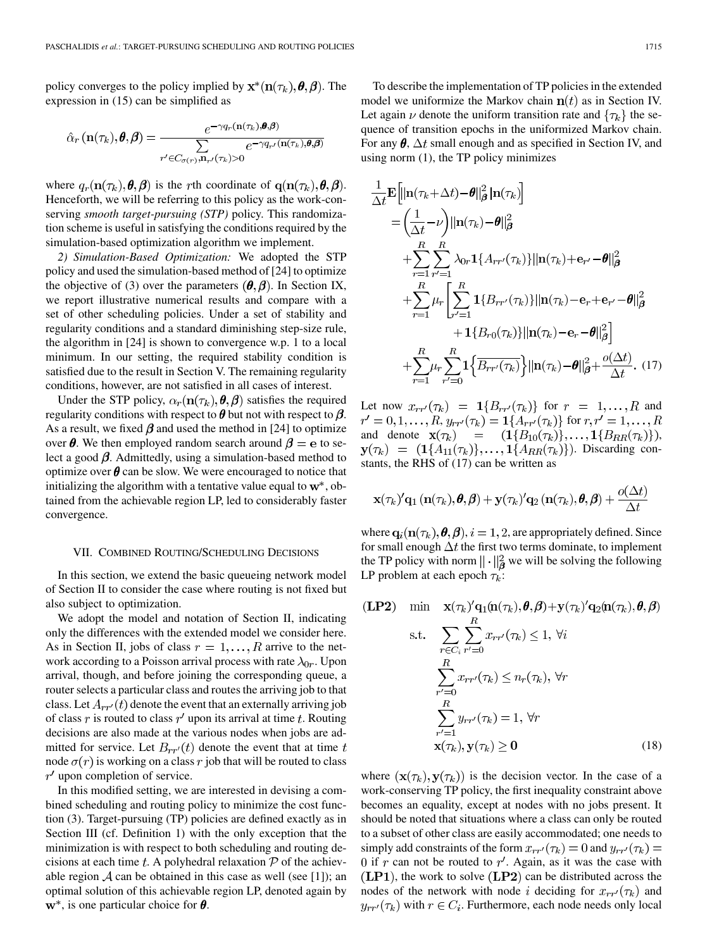policy converges to the policy implied by  $\mathbf{x}^*(\mathbf{n}(\tau_k), \theta, \beta)$ . The expression in (15) can be simplified as

$$
\hat{\alpha}_r(\mathbf{n}(\tau_k), \pmb{\theta}, \pmb{\beta}) = \frac{e^{-\gamma q_r(\mathbf{n}(\tau_k), \pmb{\theta}, \pmb{\beta})}}{\sum\limits_{r' \in C_{\sigma(r)}, \mathbf{n}_{r'}(\tau_k) > 0} e^{-\gamma q_{r'}(\mathbf{n}(\tau_k), \pmb{\theta}, \pmb{\beta})}}
$$

where  $q_r(\mathbf{n}(\tau_k), \boldsymbol{\theta}, \boldsymbol{\beta})$  is the rth coordinate of  $\mathbf{q}(\mathbf{n}(\tau_k), \boldsymbol{\theta}, \boldsymbol{\beta})$ . Henceforth, we will be referring to this policy as the work-conserving *smooth target-pursuing (STP)* policy. This randomization scheme is useful in satisfying the conditions required by the simulation-based optimization algorithm we implement.

*2) Simulation-Based Optimization:* We adopted the STP policy and used the simulation-based method of [[24\]](#page-13-0) to optimize the objective of (3) over the parameters  $(\theta, \beta)$ . In Section IX, we report illustrative numerical results and compare with a set of other scheduling policies. Under a set of stability and regularity conditions and a standard diminishing step-size rule, the algorithm in [\[24](#page-13-0)] is shown to convergence w.p. 1 to a local minimum. In our setting, the required stability condition is satisfied due to the result in Section V. The remaining regularity conditions, however, are not satisfied in all cases of interest.

Under the STP policy,  $\alpha_r(\mathbf{n}(\tau_k), \theta, \beta)$  satisfies the required regularity conditions with respect to  $\theta$  but not with respect to  $\beta$ . As a result, we fixed  $\beta$  and used the method in [\[24](#page-13-0)] to optimize over  $\theta$ . We then employed random search around  $\beta = e$  to select a good  $\beta$ . Admittedly, using a simulation-based method to optimize over  $\theta$  can be slow. We were encouraged to notice that initializing the algorithm with a tentative value equal to  $w^*$ , obtained from the achievable region LP, led to considerably faster convergence.

## VII. COMBINED ROUTING/SCHEDULING DECISIONS

In this section, we extend the basic queueing network model of Section II to consider the case where routing is not fixed but also subject to optimization.

We adopt the model and notation of Section II, indicating only the differences with the extended model we consider here. As in Section II, jobs of class  $r=1,\ldots,R$  arrive to the network according to a Poisson arrival process with rate  $\lambda_{0r}$ . Upon arrival, though, and before joining the corresponding queue, a router selects a particular class and routes the arriving job to that class. Let  $A_{rr'}(t)$  denote the event that an externally arriving job of class r is routed to class  $r'$  upon its arrival at time t. Routing decisions are also made at the various nodes when jobs are admitted for service. Let  $B_{rr'}(t)$  denote the event that at time t node  $\sigma(r)$  is working on a class r job that will be routed to class  $r'$  upon completion of service.

In this modified setting, we are interested in devising a combined scheduling and routing policy to minimize the cost function (3). Target-pursuing (TP) policies are defined exactly as in Section III (cf. Definition 1) with the only exception that the minimization is with respect to both scheduling and routing decisions at each time  $t$ . A polyhedral relaxation  $P$  of the achievable region  $A$  can be obtained in this case as well (see [[1\]](#page-13-0)); an optimal solution of this achievable region LP, denoted again by  $\mathbf{w}^*$ , is one particular choice for  $\boldsymbol{\theta}$ .

To describe the implementation of TP policies in the extended model we uniformize the Markov chain  $n(t)$  as in Section IV. Let again  $\nu$  denote the uniform transition rate and  $\{\tau_k\}$  the sequence of transition epochs in the uniformized Markov chain. For any  $\theta$ ,  $\Delta t$  small enough and as specified in Section IV, and using norm (1), the TP policy minimizes

$$
\frac{1}{\Delta t} \mathbf{E} \Big[ ||\mathbf{n}(\tau_k + \Delta t) - \boldsymbol{\theta}||^2_{\boldsymbol{\beta}} |\mathbf{n}(\tau_k)|
$$
\n
$$
= \Big(\frac{1}{\Delta t} - \nu\Big) ||\mathbf{n}(\tau_k) - \boldsymbol{\theta}||^2_{\boldsymbol{\beta}}
$$
\n
$$
+ \sum_{r=1}^R \sum_{r'=1}^R \lambda_{0r} \mathbf{1}\{A_{rr'}(\tau_k)\} ||\mathbf{n}(\tau_k) + \mathbf{e}_{r'} - \boldsymbol{\theta}||^2_{\boldsymbol{\beta}}
$$
\n
$$
+ \sum_{r=1}^R \mu_r \Big[ \sum_{r'=1}^R \mathbf{1}\{B_{rr'}(\tau_k)\} ||\mathbf{n}(\tau_k) - \mathbf{e}_r + \mathbf{e}_{r'} - \boldsymbol{\theta}||^2_{\boldsymbol{\beta}}
$$
\n
$$
+ \mathbf{1}\{B_{r0}(\tau_k)\} ||\mathbf{n}(\tau_k) - \mathbf{e}_r - \boldsymbol{\theta}||^2_{\boldsymbol{\beta}} \Big]
$$
\n
$$
+ \sum_{r=1}^R \mu_r \sum_{r'=0}^R \mathbf{1}\Big\{\overline{B_{rr'}(\tau_k)}\Big\} ||\mathbf{n}(\tau_k) - \boldsymbol{\theta}||^2_{\boldsymbol{\beta}} + \frac{o(\Delta t)}{\Delta t}. (17)
$$

Let now  $x_{rr}(\tau_k) = 1\{B_{rr}(\tau_k)\}\$ for  $r = 1,...,R$  and  $r' = 0, 1, \ldots, R$ ,  $y_{rr'}(\tau_k) = 1\{A_{rr'}(\tau_k)\}\$ for  $r, r' = 1, \ldots, R$ and denote  $\mathbf{x}(\tau_k) = (1{B_{10}(\tau_k)},..., 1{B_{RR}(\tau_k)}),$  $\mathbf{y}(\tau_k) = (1\{A_{11}(\tau_k)\}, \ldots, 1\{A_{RR}(\tau_k)\})$ . Discarding constants, the RHS of (17) can be written as

$$
\mathbf{x}(\tau_k)'\mathbf{q}_1(\mathbf{n}(\tau_k),\boldsymbol{\theta},\boldsymbol{\beta}) + \mathbf{y}(\tau_k)'\mathbf{q}_2(\mathbf{n}(\tau_k),\boldsymbol{\theta},\boldsymbol{\beta}) + \frac{o(\Delta t)}{\Delta t}
$$

where  $\mathbf{q}_i(\mathbf{n}(\tau_k), \boldsymbol{\theta}, \boldsymbol{\beta}), i = 1, 2$ , are appropriately defined. Since for small enough  $\Delta t$  the first two terms dominate, to implement the TP policy with norm  $\|\cdot\|_{\mathcal{B}}^2$  we will be solving the following LP problem at each epoch  $\tau_k$ :

$$
\begin{aligned}\n\textbf{(LP2)} \quad & \min \quad \mathbf{x}(\tau_k)'\mathbf{q}_1(\mathbf{n}(\tau_k), \boldsymbol{\theta}, \boldsymbol{\beta}) + \mathbf{y}(\tau_k)'\mathbf{q}_2(\mathbf{n}(\tau_k), \boldsymbol{\theta}, \boldsymbol{\beta}) \\
& \text{s.t.} \quad \sum_{r \in C_i} \sum_{r'=0}^R x_{rr'}(\tau_k) \le 1, \ \forall i \\
& \sum_{r'=0}^R x_{rr'}(\tau_k) \le n_r(\tau_k), \ \forall r \\
& \sum_{r'=1}^R y_{rr'}(\tau_k) = 1, \ \forall r \\
& \mathbf{x}(\tau_k), \mathbf{y}(\tau_k) \ge 0\n\end{aligned}
$$
\n
$$
(18)
$$

where  $(\mathbf{x}(\tau_k), \mathbf{y}(\tau_k))$  is the decision vector. In the case of a work-conserving TP policy, the first inequality constraint above becomes an equality, except at nodes with no jobs present. It should be noted that situations where a class can only be routed to a subset of other class are easily accommodated; one needs to simply add constraints of the form  $x_{rr'}(\tau_k) = 0$  and  $y_{rr'}(\tau_k) =$ 0 if  $r$  can not be routed to  $r'$ . Again, as it was the case with  $(LP1)$ , the work to solve  $(LP2)$  can be distributed across the nodes of the network with node i deciding for  $x_{rr'}(\tau_k)$  and  $y_{rr'}(\tau_k)$  with  $r \in C_i$ . Furthermore, each node needs only local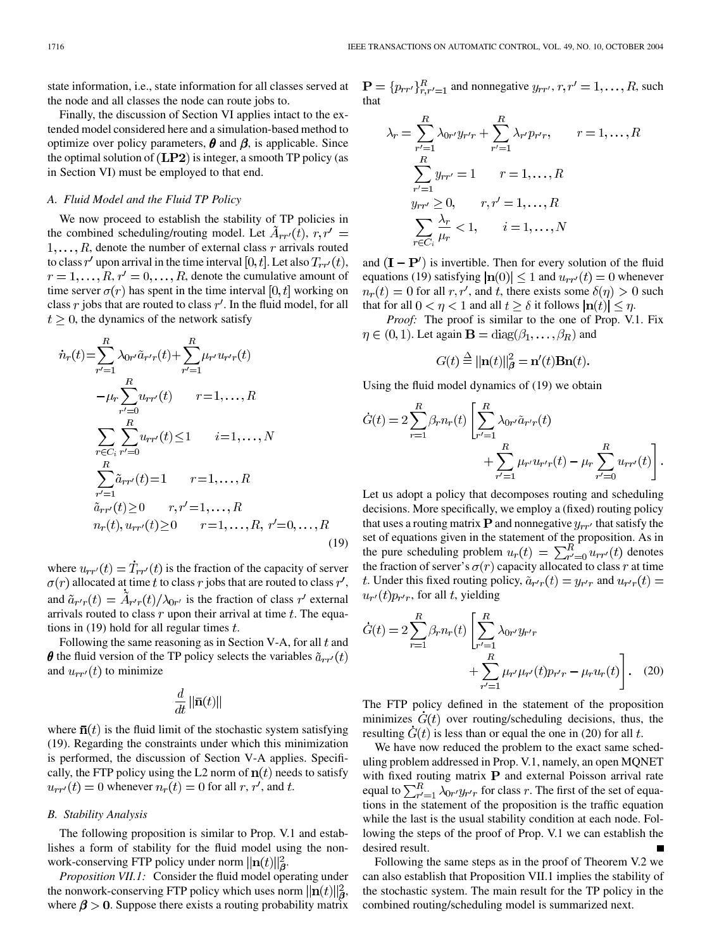state information, i.e., state information for all classes served at the node and all classes the node can route jobs to.

Finally, the discussion of Section VI applies intact to the extended model considered here and a simulation-based method to optimize over policy parameters,  $\theta$  and  $\beta$ , is applicable. Since the optimal solution of  $(LP2)$  is integer, a smooth TP policy (as in Section VI) must be employed to that end.

# *A. Fluid Model and the Fluid TP Policy*

We now proceed to establish the stability of TP policies in the combined scheduling/routing model. Let  $A_{rr'}(t)$ ,  $r, r' =$  $1, \ldots, R$ , denote the number of external class r arrivals routed to class r' upon arrival in the time interval [0, t]. Let also  $T_{rr'}(t)$ ,  $r = 1, \ldots, R, r' = 0, \ldots, R$ , denote the cumulative amount of time server  $\sigma(r)$  has spent in the time interval [0, t] working on class  $r$  jobs that are routed to class  $r'$ . In the fluid model, for all  $t \geq 0$ , the dynamics of the network satisfy

$$
r(t) = \sum_{r'=1}^{R} \lambda_{0r'} \tilde{a}_{r'r}(t) + \sum_{r'=1}^{R} \mu_{r'} u_{r'r}(t)
$$
  
\n
$$
-\mu_{r} \sum_{r'=0}^{R} u_{rr'}(t) \qquad r=1,\ldots,R
$$
  
\n
$$
\sum_{r \in C_{i}} \sum_{r'=0}^{R} u_{rr'}(t) \le 1 \qquad i=1,\ldots,N
$$
  
\n
$$
\sum_{r'=1}^{R} \tilde{a}_{rr'}(t) = 1 \qquad r=1,\ldots,R
$$
  
\n
$$
\tilde{a}_{rr'}(t) \ge 0 \qquad r, r'=1,\ldots,R
$$
  
\n
$$
n_{r}(t), u_{rr'}(t) \ge 0 \qquad r=1,\ldots,R, r'=0,\ldots,R
$$
  
\n(19)

where  $u_{rr'}(t) = \dot{T}_{rr'}(t)$  is the fraction of the capacity of server  $\sigma(r)$  allocated at time t to class r jobs that are routed to class r', and  $\tilde{a}_{r'r}(t) = \tilde{A}_{r'r}(t)/\lambda_{0r'}$  is the fraction of class r' external arrivals routed to class  $r$  upon their arrival at time  $t$ . The equations in (19) hold for all regular times  $t$ .

Following the same reasoning as in Section V-A, for all  $t$  and  $\boldsymbol{\theta}$  the fluid version of the TP policy selects the variables  $\tilde{a}_{rr'}(t)$ and  $u_{rr'}(t)$  to minimize

$$
\frac{d}{dt}\left\Vert \bar{\mathbf{n}}(t)\right\Vert
$$

where  $\bar{\mathbf{n}}(t)$  is the fluid limit of the stochastic system satisfying (19). Regarding the constraints under which this minimization is performed, the discussion of Section V-A applies. Specifically, the FTP policy using the L2 norm of  $n(t)$  needs to satisfy  $u_{rr'}(t) = 0$  whenever  $n_r(t) = 0$  for all r, r', and t.

## *B. Stability Analysis*

The following proposition is similar to Prop. V.1 and establishes a form of stability for the fluid model using the nonwork-conserving FTP policy under norm  $||\mathbf{n}(t)||_2^2$ .

*Proposition VII.1:* Consider the fluid model operating under the nonwork-conserving FTP policy which uses norm  $\|\mathbf{n}(t)\|_{\mathbf{B}}^2$ , where  $\beta > 0$ . Suppose there exists a routing probability matrix  $\mathbf{P} = \{p_{rr'}\}_{r,r'=1}^R$  and nonnegative  $y_{rr'}$ ,  $r, r' = 1, \ldots, R$ , such that

$$
\lambda_r = \sum_{r'=1}^R \lambda_{0r'} y_{r'r} + \sum_{r'=1}^R \lambda_{r'} p_{r'r}, \qquad r = 1, \dots, R
$$
  

$$
\sum_{r'=1}^R y_{rr'} = 1 \qquad r = 1, \dots, R
$$
  

$$
y_{rr'} \ge 0, \qquad r, r' = 1, \dots, R
$$
  

$$
\sum_{r \in C_i} \frac{\lambda_r}{\mu_r} < 1, \qquad i = 1, \dots, N
$$

and  $(I - P')$  is invertible. Then for every solution of the fluid equations (19) satisfying  $|\mathbf{n}(0)| \le 1$  and  $u_{rr'}(t) = 0$  whenever  $n_r(t) = 0$  for all  $r, r'$ , and t, there exists some  $\delta(\eta) > 0$  such that for all  $0 < \eta < 1$  and all  $t \geq \delta$  it follows  $|\mathbf{n}(t)| \leq \eta$ .

*Proof:* The proof is similar to the one of Prop. V.1. Fix  $\eta \in (0,1)$ . Let again  $\mathbf{B} = \text{diag}(\beta_1, \dots, \beta_R)$  and

$$
G(t) \stackrel{\Delta}{=} ||\mathbf{n}(t)||_{\boldsymbol{\beta}}^{2} = \mathbf{n}'(t)\mathbf{B}\mathbf{n}(t).
$$

Using the fluid model dynamics of (19) we obtain

$$
\dot{G}(t) = 2 \sum_{r=1}^{R} \beta_r n_r(t) \left[ \sum_{r'=1}^{R} \lambda_{0r'} \tilde{a}_{r'r}(t) + \sum_{r'=1}^{R} \mu_{r'} u_{r'r}(t) - \mu_r \sum_{r'=0}^{R} u_{rr'}(t) \right].
$$

Let us adopt a policy that decomposes routing and scheduling decisions. More specifically, we employ a (fixed) routing policy that uses a routing matrix **P** and nonnegative  $y_{rr'}$  that satisfy the set of equations given in the statement of the proposition. As in the pure scheduling problem  $u_r(t) = \sum_{r'=0}^{R} u_{rr'}(t)$  denotes the fraction of server's  $\sigma(r)$  capacity allocated to class r at time t. Under this fixed routing policy,  $\tilde{a}_{r'r}(t) = y_{r'r}$  and  $u_{r'r}(t) =$  $u_{r}(t)p_{r'r}$ , for all t, yielding

$$
\dot{G}(t) = 2 \sum_{r=1}^{R} \beta_r n_r(t) \left[ \sum_{r'=1}^{R} \lambda_{0r'} y_{r'r} + \sum_{r'=1}^{R} \mu_{r'} \mu_{r'}(t) p_{r'r} - \mu_r u_r(t) \right].
$$
 (20)

The FTP policy defined in the statement of the proposition minimizes  $\dot{G}(t)$  over routing/scheduling decisions, thus, the resulting  $G(t)$  is less than or equal the one in (20) for all t.

We have now reduced the problem to the exact same scheduling problem addressed in Prop. V.1, namely, an open MQNET with fixed routing matrix  $P$  and external Poisson arrival rate equal to  $\sum_{r=1}^{R} \lambda_{0r} y_{r'r}$  for class r. The first of the set of equations in the statement of the proposition is the traffic equation while the last is the usual stability condition at each node. Following the steps of the proof of Prop. V.1 we can establish the desired result.

Following the same steps as in the proof of Theorem V.2 we can also establish that Proposition VII.1 implies the stability of the stochastic system. The main result for the TP policy in the combined routing/scheduling model is summarized next.

 $\dot{n}$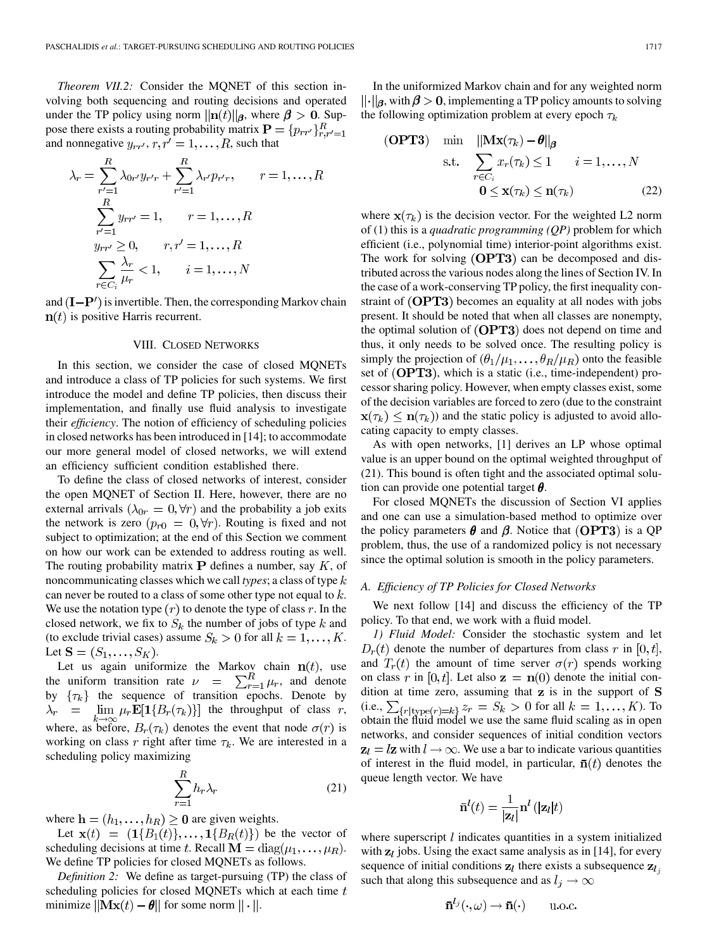*Theorem VII.2:* Consider the MQNET of this section involving both sequencing and routing decisions and operated under the TP policy using norm  $\|\mathbf{n}(t)\|_{\beta}$ , where  $\beta > 0$ . Suppose there exists a routing probability matrix  $\mathbf{P} = \{p_{rr'}\}_{r,r'=1}^R$ and nonnegative  $y_{rr'}$ ,  $r, r' = 1, ..., R$ , such that

$$
\lambda_r = \sum_{r'=1}^{R} \lambda_{0r'} y_{r'r} + \sum_{r'=1}^{R} \lambda_{r'} p_{r'r}, \qquad r = 1, ..., R
$$
  

$$
\sum_{r'=1}^{R} y_{rr'} = 1, \qquad r = 1, ..., R
$$
  

$$
y_{rr'} \ge 0, \qquad r, r' = 1, ..., R
$$
  

$$
\sum_{r \in C_i} \frac{\lambda_r}{\mu_r} < 1, \qquad i = 1, ..., N
$$

and  $(I - P')$  is invertible. Then, the corresponding Markov chain  $n(t)$  is positive Harris recurrent.

## VIII. CLOSED NETWORKS

In this section, we consider the case of closed MQNETs and introduce a class of TP policies for such systems. We first introduce the model and define TP policies, then discuss their implementation, and finally use fluid analysis to investigate their *efficiency*. The notion of efficiency of scheduling policies in closed networks has been introduced in [\[14](#page-13-0)]; to accommodate our more general model of closed networks, we will extend an efficiency sufficient condition established there.

To define the class of closed networks of interest, consider the open MQNET of Section II. Here, however, there are no external arrivals  $(\lambda_{0r} = 0, \forall r)$  and the probability a job exits the network is zero  $(p_{r0} = 0, \forall r)$ . Routing is fixed and not subject to optimization; at the end of this Section we comment on how our work can be extended to address routing as well. The routing probability matrix  $P$  defines a number, say  $K$ , of noncommunicating classes which we call *types*; a class of type can never be routed to a class of some other type not equal to  $k$ . We use the notation type  $(r)$  to denote the type of class r. In the closed network, we fix to  $S_k$  the number of jobs of type k and (to exclude trivial cases) assume  $S_k > 0$  for all  $k = 1, ..., K$ . Let  $S = (S_1, ..., S_K)$ .

Let us again uniformize the Markov chain  $n(t)$ , use the uniform transition rate  $\nu = \sum_{r=1}^{n} \mu_r$ , and denote by  $\{\tau_k\}$  the sequence of transition epochs. Denote by  $\lambda_r = \lim_{k \to \infty} \mu_r \mathbf{E}[\mathbf{1}\{B_r(\tau_k)\}]$  the throughput of class r, where, as before,  $B_r(\tau_k)$  denotes the event that node  $\sigma(r)$  is working on class r right after time  $\tau_k$ . We are interested in a scheduling policy maximizing

$$
\sum_{r=1}^{R} h_r \lambda_r \tag{21}
$$

where  $\mathbf{h} = (h_1, \dots, h_R) \geq 0$  are given weights.

Let  $\mathbf{x}(t) = (1{B_1(t)},..., 1{B_R(t)})$  be the vector of scheduling decisions at time t. Recall  $\mathbf{M} = \text{diag}(\mu_1, \dots, \mu_R)$ . We define TP policies for closed MQNETs as follows.

*Definition 2:* We define as target-pursuing (TP) the class of scheduling policies for closed MQNETs which at each time  $t$ minimize  $\|\mathbf{Mx}(t) - \theta\|$  for some norm  $\|\cdot\|$ .

In the uniformized Markov chain and for any weighted norm  $\|\cdot\|_{\beta}$ , with  $\beta > 0$ , implementing a TP policy amounts to solving the following optimization problem at every epoch  $\tau_k$ 

(OPT3) min 
$$
\|\mathbf{M}\mathbf{x}(\tau_k) - \theta\|_{\beta}
$$
  
s.t.  $\sum_{r \in C_i} x_r(\tau_k) \le 1$   $i = 1,..., N$   
 $0 \le \mathbf{x}(\tau_k) \le \mathbf{n}(\tau_k)$  (22)

where  $\mathbf{x}(\tau_k)$  is the decision vector. For the weighted L2 norm of (1) this is a *quadratic programming (QP)* problem for which efficient (i.e., polynomial time) interior-point algorithms exist. The work for solving  $(OPT3)$  can be decomposed and distributed across the various nodes along the lines of Section IV. In the case of a work-conserving TP policy, the first inequality constraint of  $(DPT3)$  becomes an equality at all nodes with jobs present. It should be noted that when all classes are nonempty, the optimal solution of  $(OPT3)$  does not depend on time and thus, it only needs to be solved once. The resulting policy is simply the projection of  $(\theta_1/\mu_1, \dots, \theta_R/\mu_R)$  onto the feasible set of  $(DPT3)$ , which is a static (i.e., time-independent) processor sharing policy. However, when empty classes exist, some of the decision variables are forced to zero (due to the constraint  $\mathbf{x}(\tau_k) \leq \mathbf{n}(\tau_k)$  and the static policy is adjusted to avoid allocating capacity to empty classes.

As with open networks, [[1\]](#page-13-0) derives an LP whose optimal value is an upper bound on the optimal weighted throughput of (21). This bound is often tight and the associated optimal solution can provide one potential target  $\theta$ .

For closed MQNETs the discussion of Section VI applies and one can use a simulation-based method to optimize over the policy parameters  $\theta$  and  $\beta$ . Notice that (OPT3) is a QP problem, thus, the use of a randomized policy is not necessary since the optimal solution is smooth in the policy parameters.

## *A. Efficiency of TP Policies for Closed Networks*

We next follow [[14\]](#page-13-0) and discuss the efficiency of the TP policy. To that end, we work with a fluid model.

*1) Fluid Model:* Consider the stochastic system and let  $D_r(t)$  denote the number of departures from class r in [0, t], and  $T_r(t)$  the amount of time server  $\sigma(r)$  spends working on class r in [0, t]. Let also  $z = n(0)$  denote the initial condition at time zero, assuming that  $z$  is in the support of  $S$ (i.e.,  $\sum_{\{r: |t| \leq r\}} z_r = S_k > 0$  for all  $k = 1, ..., K$ ). To obtain the fluid model we use the same fluid scaling as in open networks, and consider sequences of initial condition vectors  $z_l = l\mathbf{z}$  with  $l \to \infty$ . We use a bar to indicate various quantities of interest in the fluid model, in particular,  $\bar{n}(t)$  denotes the queue length vector. We have

$$
\bar{\mathbf{n}}^{l}(t) = \frac{1}{|\mathbf{z}_{l}|} \mathbf{n}^{l} \left( |\mathbf{z}_{l}| t \right)
$$

where superscript  $l$  indicates quantities in a system initialized with  $z_l$  jobs. Using the exact same analysis as in [\[14](#page-13-0)], for every sequence of initial conditions  $z_l$  there exists a subsequence  $z_l$ , such that along this subsequence and as  $l_j \to \infty$ 

$$
\bar{\mathbf{n}}^{l_j}(\cdot,\omega) \to \bar{\mathbf{n}}(\cdot) \qquad \text{u.o.c}
$$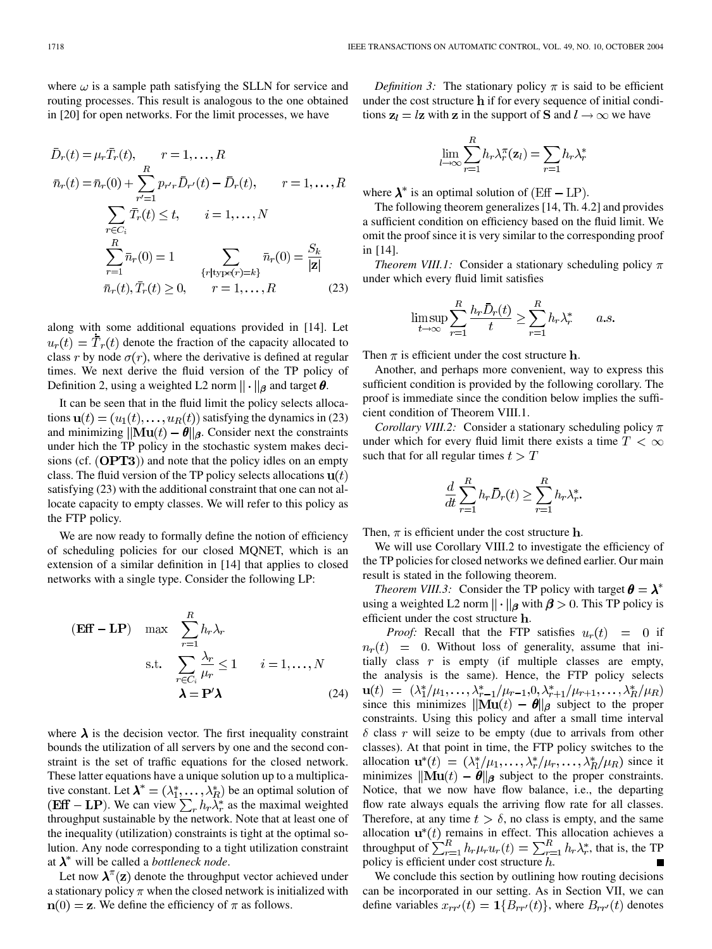where  $\omega$  is a sample path satisfying the SLLN for service and routing processes. This result is analogous to the one obtained in [\[20](#page-13-0)] for open networks. For the limit processes, we have

$$
\bar{D}_r(t) = \mu_r \bar{T}_r(t), \qquad r = 1, ..., R
$$
\n
$$
\bar{n}_r(t) = \bar{n}_r(0) + \sum_{r'=1}^R p_{r'r} \bar{D}_{r'}(t) - \bar{D}_r(t), \qquad r = 1, ..., R
$$
\n
$$
\sum_{r \in C_i} \bar{T}_r(t) \le t, \qquad i = 1, ..., N
$$
\n
$$
\sum_{r=1}^R \bar{n}_r(0) = 1 \qquad \sum_{\{r \mid type(r) = k\}} \bar{n}_r(0) = \frac{S_k}{|\mathbf{z}|}
$$
\n
$$
\bar{n}_r(t), \bar{T}_r(t) \ge 0, \qquad r = 1, ..., R
$$
\n(23)

along with some additional equations provided in [[14\]](#page-13-0). Let  $u_r(t) = \overline{T}_r(t)$  denote the fraction of the capacity allocated to class r by node  $\sigma(r)$ , where the derivative is defined at regular times. We next derive the fluid version of the TP policy of Definition 2, using a weighted L2 norm  $\|\cdot\|_{\beta}$  and target  $\theta$ .

It can be seen that in the fluid limit the policy selects allocations  $\mathbf{u}(t) = (u_1(t), \dots, u_R(t))$  satisfying the dynamics in (23) and minimizing  $\|\mathbf{M} \mathbf{u}(t) - \boldsymbol{\theta}\|_{\boldsymbol{\beta}}$ . Consider next the constraints under hich the TP policy in the stochastic system makes decisions (cf.  $(OPT3)$ ) and note that the policy idles on an empty class. The fluid version of the TP policy selects allocations  $\mathbf{u}(t)$ satisfying (23) with the additional constraint that one can not allocate capacity to empty classes. We will refer to this policy as the FTP policy.

We are now ready to formally define the notion of efficiency of scheduling policies for our closed MQNET, which is an extension of a similar definition in [[14](#page-13-0)] that applies to closed networks with a single type. Consider the following LP:

$$
(\mathbf{Eff} - \mathbf{LP}) \quad \max \quad \sum_{r=1}^{R} h_r \lambda_r
$$
\n
$$
\text{s.t.} \quad \sum_{r \in C_i} \frac{\lambda_r}{\mu_r} \le 1 \qquad i = 1, ..., N
$$
\n
$$
\lambda = \mathbf{P}' \lambda \tag{24}
$$

where  $\lambda$  is the decision vector. The first inequality constraint bounds the utilization of all servers by one and the second constraint is the set of traffic equations for the closed network. These latter equations have a unique solution up to a multiplicative constant. Let  $\lambda^* = (\lambda_1^*, \dots, \lambda_R^*)$  be an optimal solution of . We can view  $\sum_{r} h_r \lambda_r^*$  as the maximal weighted throughput sustainable by the network. Note that at least one of the inequality (utilization) constraints is tight at the optimal solution. Any node corresponding to a tight utilization constraint at  $\lambda^*$  will be called a *bottleneck node*.

Let now  $\lambda^{\pi}(\mathbf{z})$  denote the throughput vector achieved under a stationary policy  $\pi$  when the closed network is initialized with  $n(0) = z$ . We define the efficiency of  $\pi$  as follows.

*Definition 3:* The stationary policy  $\pi$  is said to be efficient under the cost structure  $\bf{h}$  if for every sequence of initial conditions  $z_l = lz$  with z in the support of S and  $l \to \infty$  we have

$$
\lim_{l \to \infty} \sum_{r=1}^{R} h_r \lambda_r^{\pi}(\mathbf{z}_l) = \sum_{r=1} h_r \lambda_r^*
$$

where  $\lambda^*$  is an optimal solution of  $(Eff - LP)$ .

The following theorem generalizes [\[14](#page-13-0), Th. 4.2] and provides a sufficient condition on efficiency based on the fluid limit. We omit the proof since it is very similar to the corresponding proof in [[14\]](#page-13-0).

*Theorem VIII.1:* Consider a stationary scheduling policy  $\pi$ under which every fluid limit satisfies

$$
\limsup_{t \to \infty} \sum_{r=1}^{R} \frac{h_r \bar{D}_r(t)}{t} \ge \sum_{r=1}^{R} h_r \lambda_r^* \qquad a.s
$$

Then  $\pi$  is efficient under the cost structure **h**.

Another, and perhaps more convenient, way to express this sufficient condition is provided by the following corollary. The proof is immediate since the condition below implies the sufficient condition of Theorem VIII.1.

*Corollary VIII.2:* Consider a stationary scheduling policy  $\pi$ under which for every fluid limit there exists a time  $T < \infty$ such that for all regular times  $t > T$ 

$$
\frac{d}{dt} \sum_{r=1}^{R} h_r \bar{D}_r(t) \ge \sum_{r=1}^{R} h_r \lambda_r^*.
$$

Then,  $\pi$  is efficient under the cost structure **h**.

We will use Corollary VIII.2 to investigate the efficiency of the TP policies for closed networks we defined earlier. Our main result is stated in the following theorem.

*Theorem VIII.3:* Consider the TP policy with target  $\theta = \lambda^*$ using a weighted L2 norm  $\|\cdot\|_{\beta}$  with  $\beta > 0$ . This TP policy is efficient under the cost structure h.

*Proof:* Recall that the FTP satisfies  $u_r(t) = 0$  if  $n_r(t) = 0$ . Without loss of generality, assume that initially class  $r$  is empty (if multiple classes are empty, the analysis is the same). Hence, the FTP policy selects  $\mathbf{u}(t) = (\lambda_1^*/\mu_1, \ldots, \lambda_{r-1}^*/\mu_{r-1}, 0, \lambda_{r+1}^*/\mu_{r+1}, \ldots, \lambda_R^*/\mu_R)$ since this minimizes  $\|\mathbf{M} \mathbf{u}(t) - \boldsymbol{\theta}\|_{\boldsymbol{\beta}}$  subject to the proper constraints. Using this policy and after a small time interval  $\delta$  class r will seize to be empty (due to arrivals from other classes). At that point in time, the FTP policy switches to the allocation  $\mathbf{u}^*(t) = (\lambda_1^*/\mu_1, \dots, \lambda_r^*/\mu_r, \dots, \lambda_R^*/\mu_R)$  since it minimizes  $\|\mathbf{M} \mathbf{u}(t) - \boldsymbol{\theta}\|_{\beta}$  subject to the proper constraints. Notice, that we now have flow balance, i.e., the departing flow rate always equals the arriving flow rate for all classes. Therefore, at any time  $t > \delta$ , no class is empty, and the same allocation  $\mathbf{u}^*(t)$  remains in effect. This allocation achieves a throughput of  $\sum_{r=1}^{n} h_r \mu_r u_r(t) = \sum_{r=1}^{n} h_r \lambda_r^*$ , that is, the TP policy is efficient under cost structure  $h$ .

We conclude this section by outlining how routing decisions can be incorporated in our setting. As in Section VII, we can define variables  $x_{rr'}(t) = 1\{B_{rr'}(t)\}\,$ , where  $B_{rr'}(t)$  denotes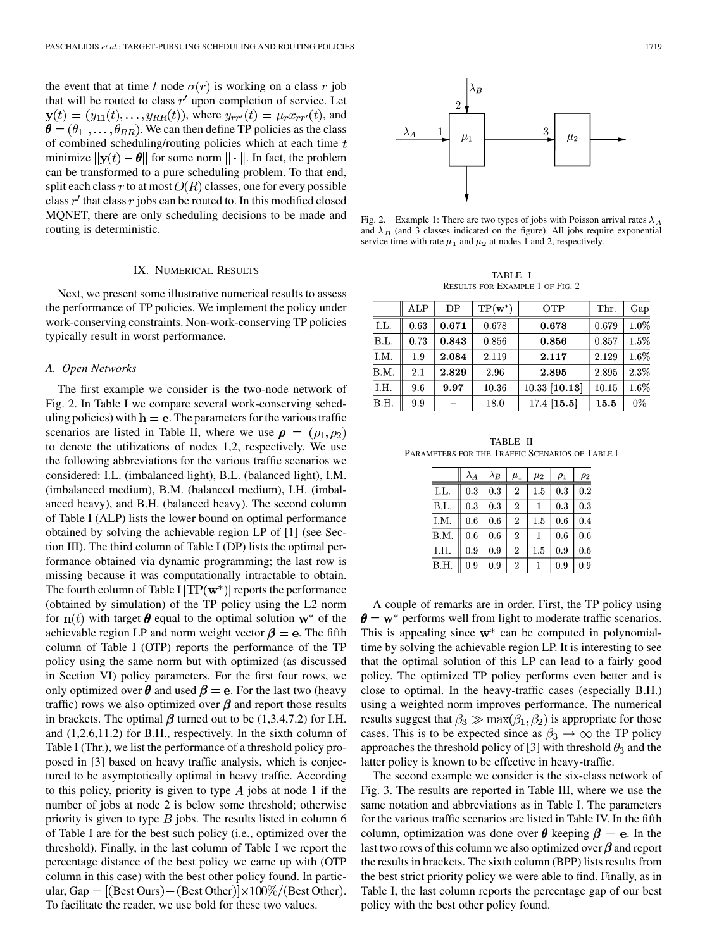the event that at time t node  $\sigma(r)$  is working on a class r job that will be routed to class  $r'$  upon completion of service. Let  $\mathbf{y}(t) = (y_{11}(t), \dots, y_{RR}(t)),$  where  $y_{rr}(t) = \mu_r x_{rr}(t)$ , and  $\boldsymbol{\theta} = (\theta_{11}, \dots, \theta_{RR})$ . We can then define TP policies as the class of combined scheduling/routing policies which at each time  $t$ minimize  $\|\mathbf{y}(t) - \boldsymbol{\theta}\|$  for some norm  $\|\cdot\|$ . In fact, the problem can be transformed to a pure scheduling problem. To that end, split each class  $r$  to at most  $O(R)$  classes, one for every possible class  $r'$  that class r jobs can be routed to. In this modified closed MQNET, there are only scheduling decisions to be made and routing is deterministic.

# IX. NUMERICAL RESULTS

Next, we present some illustrative numerical results to assess the performance of TP policies. We implement the policy under work-conserving constraints. Non-work-conserving TP policies typically result in worst performance.

## *A. Open Networks*

The first example we consider is the two-node network of Fig. 2. In Table I we compare several work-conserving scheduling policies) with  $h = e$ . The parameters for the various traffic scenarios are listed in Table II, where we use  $\rho = (\rho_1, \rho_2)$ to denote the utilizations of nodes 1,2, respectively. We use the following abbreviations for the various traffic scenarios we considered: I.L. (imbalanced light), B.L. (balanced light), I.M. (imbalanced medium), B.M. (balanced medium), I.H. (imbalanced heavy), and B.H. (balanced heavy). The second column of Table I (ALP) lists the lower bound on optimal performance obtained by solving the achievable region LP of [[1\]](#page-13-0) (see Section III). The third column of Table I (DP) lists the optimal performance obtained via dynamic programming; the last row is missing because it was computationally intractable to obtain. The fourth column of Table I  $[TP(w^*)]$  reports the performance (obtained by simulation) of the TP policy using the L2 norm for  $n(t)$  with target  $\theta$  equal to the optimal solution  $w^*$  of the achievable region LP and norm weight vector  $\beta = e$ . The fifth column of Table I (OTP) reports the performance of the TP policy using the same norm but with optimized (as discussed in Section VI) policy parameters. For the first four rows, we only optimized over  $\theta$  and used  $\beta = e$ . For the last two (heavy traffic) rows we also optimized over  $\beta$  and report those results in brackets. The optimal  $\beta$  turned out to be (1,3.4,7.2) for I.H. and (1,2.6,11.2) for B.H., respectively. In the sixth column of Table I (Thr.), we list the performance of a threshold policy proposed in [\[3](#page-13-0)] based on heavy traffic analysis, which is conjectured to be asymptotically optimal in heavy traffic. According to this policy, priority is given to type  $A$  jobs at node 1 if the number of jobs at node 2 is below some threshold; otherwise priority is given to type  $B$  jobs. The results listed in column 6 of Table I are for the best such policy (i.e., optimized over the threshold). Finally, in the last column of Table I we report the percentage distance of the best policy we came up with (OTP column in this case) with the best other policy found. In particular, Gap  $= [(Best Ours) - (Best Other)] \times 100\%/ (Best Other).$ To facilitate the reader, we use bold for these two values.



Fig. 2. Example 1: There are two types of jobs with Poisson arrival rates  $\lambda_A$ and  $\lambda_B$  (and 3 classes indicated on the figure). All jobs require exponential service time with rate  $\mu_1$  and  $\mu_2$  at nodes 1 and 2, respectively.

TABLE I RESULTS FOR EXAMPLE 1 OF FIG. 2

|      | ALP  | DP    | $TP(\mathbf{w}^*)$ | OTP             | Thr.  | Gap  |
|------|------|-------|--------------------|-----------------|-------|------|
| I.L. | 0.63 | 0.671 | 0.678              | 0.678           | 0.679 | 1.0% |
| B.L. | 0.73 | 0.843 | 0.856              | 0.856           | 0.857 | 1.5% |
| I.M. | 1.9  | 2.084 | 2.119              | 2.117           | 2.129 | 1.6% |
| B.M. | 2.1  | 2.829 | 2.96               | 2.895           | 2.895 | 2.3% |
| I.H. | 9.6  | 9.97  | 10.36              | $10.33$ [10.13] | 10.15 | 1.6% |
| B.H. | 9.9  |       | 18.0               | $17.4$ [15.5]   | 15.5  | 0%   |

TABLE II PARAMETERS FOR THE TRAFFIC SCENARIOS OF TABLE I

Ë

|      | $\lambda_A$ | $\lambda_B$ | $\mu_1$          | $\mu_2$ | $\rho_1$ | $\rho_2$ |
|------|-------------|-------------|------------------|---------|----------|----------|
| LL.  | 0.3         | 0.3         | $\overline{2}$   | 1.5     | 0.3      | 0.2      |
| B.L. | 0.3         | 0.3         | $\overline{2}$   |         | 0.3      | 0.3      |
| I.M. | 0.6         | 0.6         | $\overline{2}$   | 1.5     | 0.6      | 0.4      |
| 3.M. | 0.6         | 0.6         | $\boldsymbol{2}$ |         | 0.6      | 0.6      |
| I.H. | 0.9         | 0.9         | $\overline{2}$   | 1.5     | 0.9      | 0.6      |
| B.H. | 0.9         | 0.9         | $\mathbf{2}$     |         | 0.9      | 0.9      |

A couple of remarks are in order. First, the TP policy using  $\theta = w^*$  performs well from light to moderate traffic scenarios. This is appealing since  $w^*$  can be computed in polynomialtime by solving the achievable region LP. It is interesting to see that the optimal solution of this LP can lead to a fairly good policy. The optimized TP policy performs even better and is close to optimal. In the heavy-traffic cases (especially B.H.) using a weighted norm improves performance. The numerical results suggest that  $\beta_3 \gg \max(\beta_1, \beta_2)$  is appropriate for those cases. This is to be expected since as  $\beta_3 \rightarrow \infty$  the TP policy approaches the threshold policy of [\[3](#page-13-0)] with threshold  $\theta_3$  and the latter policy is known to be effective in heavy-traffic.

The second example we consider is the six-class network of Fig. 3. The results are reported in Table III, where we use the same notation and abbreviations as in Table I. The parameters for the various traffic scenarios are listed in Table IV. In the fifth column, optimization was done over  $\theta$  keeping  $\beta = e$ . In the last two rows of this column we also optimized over  $\beta$  and report the results in brackets. The sixth column (BPP) lists results from the best strict priority policy we were able to find. Finally, as in Table I, the last column reports the percentage gap of our best policy with the best other policy found.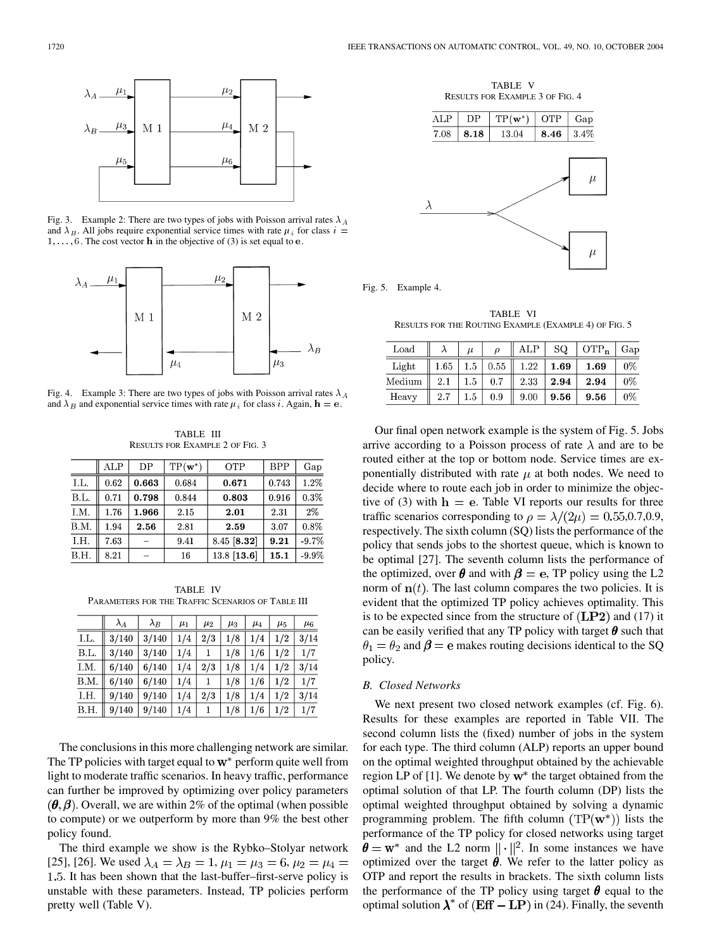

Fig. 3. Example 2: There are two types of jobs with Poisson arrival rates  $\lambda_A$ and  $\lambda_B$ . All jobs require exponential service times with rate  $\mu_i$  for class  $i =$  $1, \ldots, 6$ . The cost vector **h** in the objective of (3) is set equal to **e**.



Fig. 4. Example 3: There are two types of jobs with Poisson arrival rates  $\lambda_A$ and  $\lambda_B$  and exponential service times with rate  $\mu_i$  for class i. Again,  $h = e$ .

TABLE III RESULTS FOR EXAMPLE 2 OF FIG. 3

|      | ALP  | DP    | $TP(\mathbf{w}^*)$ | <b>OTP</b>    | <b>BPP</b> | Gap      |
|------|------|-------|--------------------|---------------|------------|----------|
| I.L. | 0.62 | 0.663 | 0.684              | 0.671         | 0.743      | 1.2%     |
| B.L. | 0.71 | 0.798 | 0.844              | 0.803         | 0.916      | 0.3%     |
| I.M. | 1.76 | 1.966 | 2.15               | 2.01          | 2.31       | 2%       |
| B.M. | 1.94 | 2.56  | 2.81               | 2.59          | 3.07       | 0.8%     |
| LH.  | 7.63 |       | 9.41               | 8.45 [8.32]   | 9.21       | $-9.7%$  |
| B.H. | 8.21 |       | 16                 | $13.8$ [13.6] | 15.1       | $-9.9\%$ |

TABLE IV PARAMETERS FOR THE TRAFFIC SCENARIOS OF TABLE III

|      | $\lambda_A$ | $\lambda_B$ | $\mu_1$ | $\mu_2$ | $\mu_3$ | $\mu_4$ | $\mu_5$ | $\mu_6$ |
|------|-------------|-------------|---------|---------|---------|---------|---------|---------|
| I.L. | 3/140       | 3/140       | 1/4     | 2/3     | 1/8     | 1/4     | 1/2     | 3/14    |
| B.L. | 3/140       | 3/140       | 1/4     |         | 1/8     | 1/6     | 1/2     | 1/7     |
| I.M. | 6/140       | 6/140       | 1/4     | 2/3     | 1/8     | 1/4     | 1/2     | 3/14    |
| B.M. | 6/140       | 6/140       | 1/4     |         | 1/8     | 1/6     | 1/2     | 1/7     |
| I.H. | 9/140       | 9/140       | 1/4     | 2/3     | 1/8     | 1/4     | 1/2     | 3/14    |
| B.H. | 9/140       | 9/140       | 1/4     |         | 1/8     | 1/6     | 1/2     | 1/7     |

The conclusions in this more challenging network are similar. The TP policies with target equal to  $w^*$  perform quite well from light to moderate traffic scenarios. In heavy traffic, performance can further be improved by optimizing over policy parameters  $(\theta, \beta)$ . Overall, we are within 2% of the optimal (when possible to compute) or we outperform by more than 9% the best other policy found.

The third example we show is the Rybko–Stolyar network [[25\]](#page-13-0), [[26\]](#page-13-0). We used  $\lambda_A = \lambda_B = 1$ ,  $\mu_1 = \mu_3 = 6$ ,  $\mu_2 = \mu_4 =$ . It has been shown that the last-buffer–first-serve policy is unstable with these parameters. Instead, TP policies perform pretty well (Table V).

TABLE V RESULTS FOR EXAMPLE 3 OF FIG. 4



TABLE VI RESULTS FOR THE ROUTING EXAMPLE (EXAMPLE 4) OF FIG. 5

| Load            |      | $\mu$   |      | ALP  | SQ.  | $OTP_n$ | Gap   |
|-----------------|------|---------|------|------|------|---------|-------|
| Light           | 1.65 | 1.5     | 0.55 | 1.22 | 1.69 | 1.69    | $0\%$ |
| $_{\rm Medium}$ | 2.1  | $1.5\,$ | 0.7  | 2.33 | 2.94 | 2.94    | 0%    |
| Heavy           | 2.7  | $1.5\,$ | 0.9  | 9.00 | 9.56 | 9.56    | $0\%$ |

Our final open network example is the system of Fig. 5. Jobs arrive according to a Poisson process of rate  $\lambda$  and are to be routed either at the top or bottom node. Service times are exponentially distributed with rate  $\mu$  at both nodes. We need to decide where to route each job in order to minimize the objective of (3) with  $h = e$ . Table VI reports our results for three traffic scenarios corresponding to  $\rho = \lambda/(2\mu) = 0.55, 0.7, 0.9,$ respectively. The sixth column (SQ) lists the performance of the policy that sends jobs to the shortest queue, which is known to be optimal [\[27](#page-13-0)]. The seventh column lists the performance of the optimized, over  $\theta$  and with  $\beta = e$ , TP policy using the L2 norm of  $n(t)$ . The last column compares the two policies. It is evident that the optimized TP policy achieves optimality. This is to be expected since from the structure of  $(LP2)$  and (17) it can be easily verified that any TP policy with target  $\theta$  such that  $\theta_1 = \theta_2$  and  $\beta = e$  makes routing decisions identical to the SQ policy.

## *B. Closed Networks*

Fig. 5. Example 4.

We next present two closed network examples (cf. Fig. 6). Results for these examples are reported in Table VII. The second column lists the (fixed) number of jobs in the system for each type. The third column (ALP) reports an upper bound on the optimal weighted throughput obtained by the achievable region LP of [\[1](#page-13-0)]. We denote by  $w^*$  the target obtained from the optimal solution of that LP. The fourth column (DP) lists the optimal weighted throughput obtained by solving a dynamic programming problem. The fifth column  $(TP(w^*))$  lists the performance of the TP policy for closed networks using target  $\theta = w^*$  and the L2 norm  $\|\cdot\|^2$ . In some instances we have optimized over the target  $\theta$ . We refer to the latter policy as OTP and report the results in brackets. The sixth column lists the performance of the TP policy using target  $\theta$  equal to the optimal solution  $\lambda^*$  of (Eff – LP) in (24). Finally, the seventh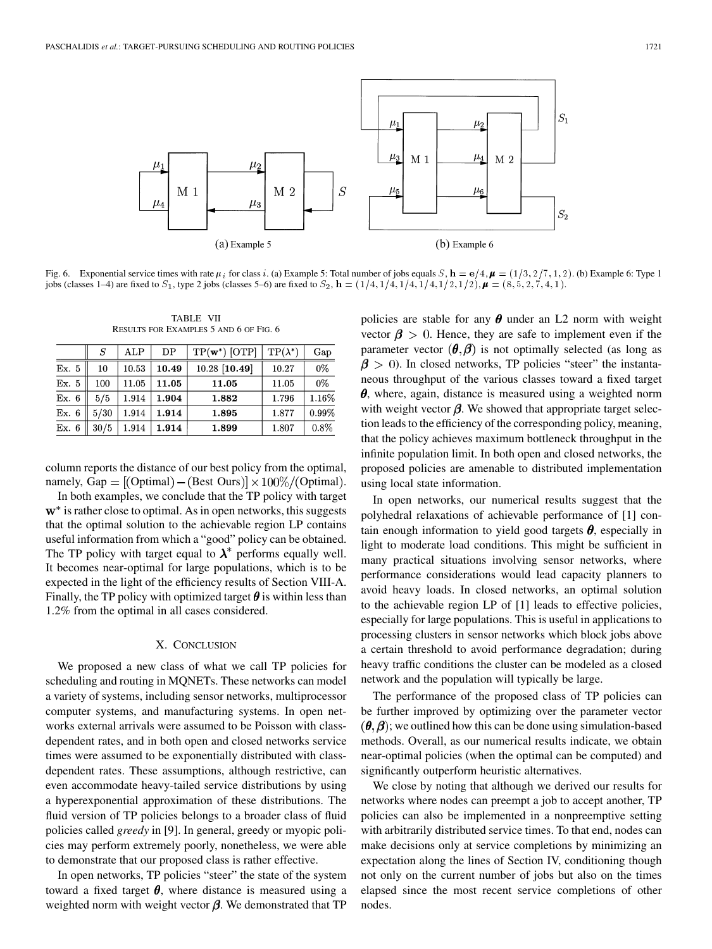

Fig. 6. Exponential service times with rate  $\mu_i$  for class i. (a) Example 5: Total number of jobs equals S,  $\mathbf{h} = \mathbf{e}/4$ ,  $\boldsymbol{\mu} = (1/3, 2/7, 1, 2)$ . (b) Example 6: Type 1 jobs (classes 1–4) are fixed to  $S_1$ , type 2 jobs (classes 5–6) are fixed to  $S_2$ ,  $\mathbf{h} = (1/4, 1/4, 1/4, 1/4, 1/4, 1/2, 1/2)$ ,  $\boldsymbol{\mu} = (8, 5, 2, 7, 4, 1)$ .

TABLE VII RESULTS FOR EXAMPLES 5 AND 6 OF FIG. 6

|       | S    | $_{\rm ALP}$ | DΡ    | $TP(\mathbf{w}^*)$ [OTP] | $TP(\lambda^*)$ | Gap   |
|-------|------|--------------|-------|--------------------------|-----------------|-------|
| Ex. 5 | 10   | 10.53        | 10.49 | 10.28 [10.49]            | 10.27           | 0%    |
| Ex. 5 | 100  | 11.05        | 11.05 | 11.05                    | 11.05           | 0%    |
| Ex. 6 | 5/5  | 1.914        | 1.904 | 1.882                    | 1.796           | 1.16% |
| Ex. 6 | 5/30 | 1.914        | 1.914 | 1.895                    | 1.877           | 0.99% |
| Ex. 6 | 30/5 | 1.914        | 1.914 | 1.899                    | 1.807           | 0.8%  |

column reports the distance of our best policy from the optimal, namely, Gap =  $[$ (Optimal) – (Best Ours) $] \times 100\%$ /(Optimal).

In both examples, we conclude that the TP policy with target  $w^*$  is rather close to optimal. As in open networks, this suggests that the optimal solution to the achievable region LP contains useful information from which a "good" policy can be obtained. The TP policy with target equal to  $\lambda^*$  performs equally well. It becomes near-optimal for large populations, which is to be expected in the light of the efficiency results of Section VIII-A. Finally, the TP policy with optimized target  $\theta$  is within less than 1.2% from the optimal in all cases considered.

## X. CONCLUSION

We proposed a new class of what we call TP policies for scheduling and routing in MQNETs. These networks can model a variety of systems, including sensor networks, multiprocessor computer systems, and manufacturing systems. In open networks external arrivals were assumed to be Poisson with classdependent rates, and in both open and closed networks service times were assumed to be exponentially distributed with classdependent rates. These assumptions, although restrictive, can even accommodate heavy-tailed service distributions by using a hyperexponential approximation of these distributions. The fluid version of TP policies belongs to a broader class of fluid policies called *greedy* in [\[9](#page-13-0)]. In general, greedy or myopic policies may perform extremely poorly, nonetheless, we were able to demonstrate that our proposed class is rather effective.

In open networks, TP policies "steer" the state of the system toward a fixed target  $\theta$ , where distance is measured using a weighted norm with weight vector  $\beta$ . We demonstrated that TP

policies are stable for any  $\theta$  under an L2 norm with weight vector  $\beta > 0$ . Hence, they are safe to implement even if the parameter vector  $(\theta, \beta)$  is not optimally selected (as long as  $\beta$  > 0). In closed networks, TP policies "steer" the instantaneous throughput of the various classes toward a fixed target  $\theta$ , where, again, distance is measured using a weighted norm with weight vector  $\beta$ . We showed that appropriate target selection leads to the efficiency of the corresponding policy, meaning, that the policy achieves maximum bottleneck throughput in the infinite population limit. In both open and closed networks, the proposed policies are amenable to distributed implementation using local state information.

In open networks, our numerical results suggest that the polyhedral relaxations of achievable performance of [\[1](#page-13-0)] contain enough information to yield good targets  $\theta$ , especially in light to moderate load conditions. This might be sufficient in many practical situations involving sensor networks, where performance considerations would lead capacity planners to avoid heavy loads. In closed networks, an optimal solution to the achievable region LP of [\[1](#page-13-0)] leads to effective policies, especially for large populations. This is useful in applications to processing clusters in sensor networks which block jobs above a certain threshold to avoid performance degradation; during heavy traffic conditions the cluster can be modeled as a closed network and the population will typically be large.

The performance of the proposed class of TP policies can be further improved by optimizing over the parameter vector  $(\theta, \beta)$ ; we outlined how this can be done using simulation-based methods. Overall, as our numerical results indicate, we obtain near-optimal policies (when the optimal can be computed) and significantly outperform heuristic alternatives.

We close by noting that although we derived our results for networks where nodes can preempt a job to accept another, TP policies can also be implemented in a nonpreemptive setting with arbitrarily distributed service times. To that end, nodes can make decisions only at service completions by minimizing an expectation along the lines of Section IV, conditioning though not only on the current number of jobs but also on the times elapsed since the most recent service completions of other nodes.